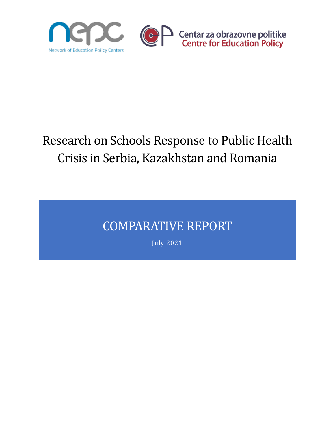

# Research on Schools Response to Public Health Crisis in Serbia, Kazakhstan and Romania

## COMPARATIVE REPORT

July 2021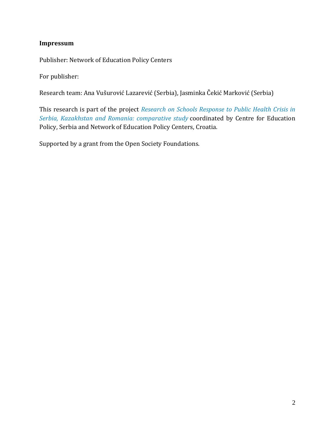#### **Impressum**

Publisher: Network of Education Policy Centers

For publisher:

Research team: Ana Vušurović Lazarević (Serbia), Jasminka Čekić Marković (Serbia)

This research is part of the project *Research on Schools Response to Public Health Crisis in Serbia, Kazakhstan and Romania: comparative study* coordinated by Centre for Education Policy, Serbia and Network of Education Policy Centers, Croatia.

Supported by a grant from the Open Society Foundations.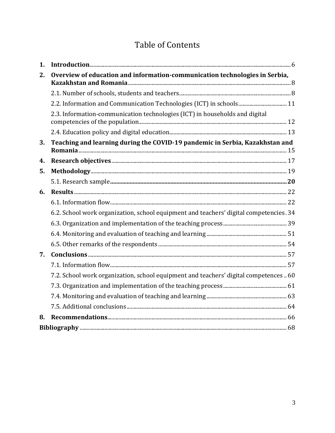## **Table of Contents**

| 1. |                                                                                        |  |
|----|----------------------------------------------------------------------------------------|--|
| 2. | Overview of education and information-communication technologies in Serbia,            |  |
|    |                                                                                        |  |
|    |                                                                                        |  |
|    | 2.3. Information-communication technologies (ICT) in households and digital            |  |
|    |                                                                                        |  |
| 3. | Teaching and learning during the COVID-19 pandemic in Serbia, Kazakhstan and           |  |
| 4. |                                                                                        |  |
| 5. |                                                                                        |  |
|    |                                                                                        |  |
| 6. |                                                                                        |  |
|    |                                                                                        |  |
|    | 6.2. School work organization, school equipment and teachers' digital competencies. 34 |  |
|    |                                                                                        |  |
|    |                                                                                        |  |
|    |                                                                                        |  |
| 7. |                                                                                        |  |
|    |                                                                                        |  |
|    | 7.2. School work organization, school equipment and teachers' digital competences  60  |  |
|    |                                                                                        |  |
|    |                                                                                        |  |
|    |                                                                                        |  |
| 8. |                                                                                        |  |
|    |                                                                                        |  |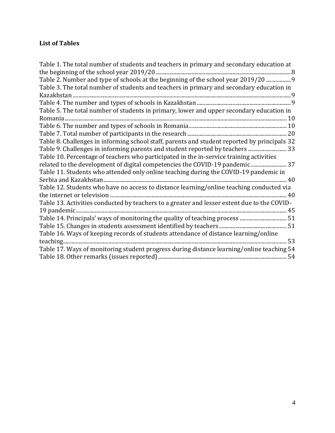#### **List of Tables**

| Table 1. The total number of students and teachers in primary and secondary education at     |
|----------------------------------------------------------------------------------------------|
|                                                                                              |
| Table 2. Number and type of schools at the beginning of the school year 2019/20  9           |
| Table 3. The total number of students and teachers in primary and secondary education in     |
|                                                                                              |
|                                                                                              |
| Table 5. The total number of students in primary, lower and upper secondary education in     |
|                                                                                              |
|                                                                                              |
|                                                                                              |
| Table 8. Challenges in informing school staff, parents and student reported by principals 32 |
| Table 9. Challenges in informing parents and student reported by teachers 33                 |
| Table 10. Percentage of teachers who participated in the in-service training activities      |
| related to the development of digital competencies the COVID-19 pandemic 37                  |
| Table 11. Students who attended only online teaching during the COVID-19 pandemic in         |
|                                                                                              |
| Table 12. Students who have no access to distance learning/online teaching conducted via     |
|                                                                                              |
| Table 13. Activities conducted by teachers to a greater and lesser extent due to the COVID-  |
|                                                                                              |
| Table 14. Principals' ways of monitoring the quality of teaching process  51                 |
|                                                                                              |
| Table 16. Ways of keeping records of students attendance of distance learning/online         |
|                                                                                              |
| Table 17. Ways of monitoring student progress during distance learning/online teaching 54    |
|                                                                                              |
|                                                                                              |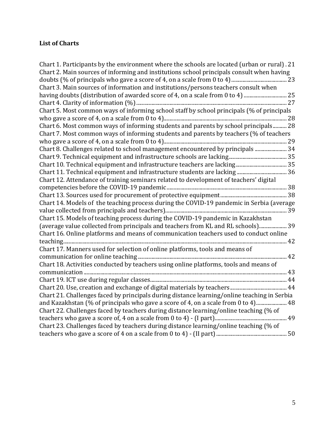#### **List of Charts**

| Chart 1. Participants by the environment where the schools are located (urban or rural). 21 |  |
|---------------------------------------------------------------------------------------------|--|
| Chart 2. Main sources of informing and institutions school principals consult when having   |  |
|                                                                                             |  |
| Chart 3. Main sources of information and institutions/persons teachers consult when         |  |
| having doubts (distribution of awarded score of 4, on a scale from 0 to 4)  25              |  |
|                                                                                             |  |
| Chart 5. Most common ways of informing school staff by school principals (% of principals   |  |
|                                                                                             |  |
| Chart 6. Most common ways of informing students and parents by school principals 28         |  |
| Chart 7. Most common ways of informing students and parents by teachers (% of teachers      |  |
|                                                                                             |  |
| Chart 8. Challenges related to school management encountered by principals  34              |  |
|                                                                                             |  |
|                                                                                             |  |
|                                                                                             |  |
| Chart 12. Attendance of training seminars related to development of teachers' digital       |  |
|                                                                                             |  |
|                                                                                             |  |
| Chart 14. Models of the teaching process during the COVID-19 pandemic in Serbia (average    |  |
|                                                                                             |  |
| Chart 15. Models of teaching process during the COVID-19 pandemic in Kazakhstan             |  |
| (average value collected from principals and teachers from KL and RL schools) 39            |  |
| Chart 16. Online platforms and means of communication teachers used to conduct online       |  |
|                                                                                             |  |
| Chart 17. Manners used for selection of online platforms, tools and means of                |  |
|                                                                                             |  |
| Chart 18. Activities conducted by teachers using online platforms, tools and means of       |  |
|                                                                                             |  |
|                                                                                             |  |
|                                                                                             |  |
| Chart 21. Challenges faced by principals during distance learning/online teaching in Serbia |  |
| and Kazakhstan (% of principals who gave a score of 4, on a scale from 0 to 4) 48           |  |
| Chart 22. Challenges faced by teachers during distance learning/online teaching (% of       |  |
|                                                                                             |  |
| Chart 23. Challenges faced by teachers during distance learning/online teaching (% of       |  |
|                                                                                             |  |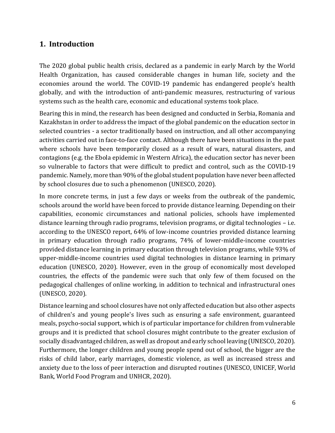## <span id="page-5-0"></span>**1. Introduction**

The 2020 global public health crisis, declared as a pandemic in early March by the World Health Organization, has caused considerable changes in human life, society and the economies around the world. The COVID-19 pandemic has endangered people's health globally, and with the introduction of anti-pandemic measures, restructuring of various systems such as the health care, economic and educational systems took place.

Bearing this in mind, the research has been designed and conducted in Serbia, Romania and Kazakhstan in order to address the impact of the global pandemic on the education sector in selected countries - a sector traditionally based on instruction, and all other accompanying activities carried out in face-to-face contact. Although there have been situations in the past where schools have been temporarily closed as a result of wars, natural disasters, and contagions (e.g. the Ebola epidemic in Western Africa), the education sector has never been so vulnerable to factors that were difficult to predict and control, such as the COVID-19 pandemic. Namely, more than 90% of the global student population have never been affected by school closures due to such a phenomenon (UNESCO, 2020).

In more concrete terms, in just a few days or weeks from the outbreak of the pandemic, schools around the world have been forced to provide distance learning. Depending on their capabilities, economic circumstances and national policies, schools have implemented distance learning through radio programs, television programs, or digital technologies – i.e. according to the UNESCO report, 64% of low-income countries provided distance learning in primary education through radio programs, 74% of lower-middle-income countries provided distance learning in primary education through television programs, while 93% of upper-middle-income countries used digital technologies in distance learning in primary education (UNESCO, 2020). However, even in the group of economically most developed countries, the effects of the pandemic were such that only few of them focused on the pedagogical challenges of online working, in addition to technical and infrastructural ones (UNESCO, 2020).

Distance learning and school closures have not only affected education but also other aspects of children's and young people's lives such as ensuring a safe environment, guaranteed meals, psycho-social support, which is of particular importance for children from vulnerable groups and it is predicted that school closures might contribute to the greater exclusion of socially disadvantaged children, as well as dropout and early school leaving (UNESCO, 2020). Furthermore, the longer children and young people spend out of school, the bigger are the risks of child labor, early marriages, domestic violence, as well as increased stress and anxiety due to the loss of peer interaction and disrupted routines (UNESCO, UNICEF, World Bank, World Food Program and UNHCR, 2020).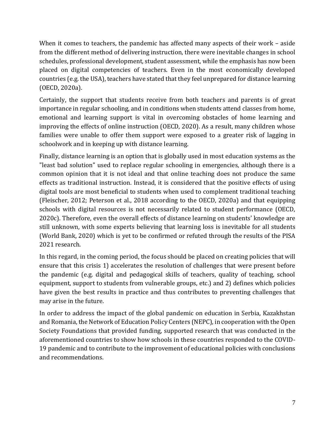When it comes to teachers, the pandemic has affected many aspects of their work – aside from the different method of delivering instruction, there were inevitable changes in school schedules, professional development, student assessment, while the emphasis has now been placed on digital competencies of teachers. Even in the most economically developed countries (e.g. the USA), teachers have stated that they feel unprepared for distance learning (OECD, 2020a).

Certainly, the support that students receive from both teachers and parents is of great importance in regular schooling, and in conditions when students attend classes from home, emotional and learning support is vital in overcoming obstacles of home learning and improving the effects of online instruction (OECD, 2020). As a result, many children whose families were unable to offer them support were exposed to a greater risk of lagging in schoolwork and in keeping up with distance learning.

Finally, distance learning is an option that is globally used in most education systems as the "least bad solution" used to replace regular schooling in emergencies, although there is a common opinion that it is not ideal and that online teaching does not produce the same effects as traditional instruction. Instead, it is considered that the positive effects of using digital tools are most beneficial to students when used to complement traditional teaching (Fleischer, 2012; Peterson et al., 2018 according to the OECD, 2020a) and that equipping schools with digital resources is not necessarily related to student performance (OECD, 2020c). Therefore, even the overall effects of distance learning on students' knowledge are still unknown, with some experts believing that learning loss is inevitable for all students (World Bank, 2020) which is yet to be confirmed or refuted through the results of the PISA 2021 research.

In this regard, in the coming period, the focus should be placed on creating policies that will ensure that this crisis 1) accelerates the resolution of challenges that were present before the pandemic (e.g. digital and pedagogical skills of teachers, quality of teaching, school equipment, support to students from vulnerable groups, etc.) and 2) defines which policies have given the best results in practice and thus contributes to preventing challenges that may arise in the future.

In order to address the impact of the global pandemic on education in Serbia, Kazakhstan and Romania, the Network of Education Policy Centers (NEPC), in cooperation with the Open Society Foundations that provided funding, supported research that was conducted in the aforementioned countries to show how schools in these countries responded to the COVID-19 pandemic and to contribute to the improvement of educational policies with conclusions and recommendations.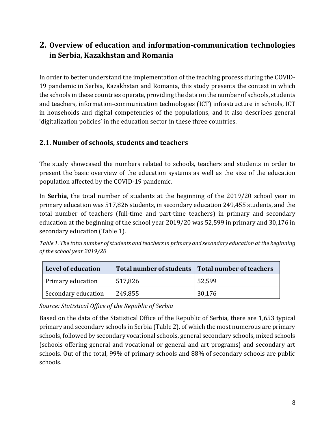## <span id="page-7-0"></span>**2. Overview of education and information-communication technologies in Serbia, Kazakhstan and Romania**

In order to better understand the implementation of the teaching process during the COVID-19 pandemic in Serbia, Kazakhstan and Romania, this study presents the context in which the schools in these countries operate, providing the data on the number of schools, students and teachers, information-communication technologies (ICT) infrastructure in schools, ICT in households and digital competencies of the populations, and it also describes general 'digitalization policies' in the education sector in these three countries.

#### <span id="page-7-1"></span>**2.1. Number of schools, students and teachers**

The study showcased the numbers related to schools, teachers and students in order to present the basic overview of the education systems as well as the size of the education population affected by the COVID-19 pandemic.

In **Serbia**, the total number of students at the beginning of the 2019/20 school year in primary education was 517,826 students, in secondary education 249,455 students, and the total number of teachers (full-time and part-time teachers) in primary and secondary education at the beginning of the school year 2019/20 was 52,599 in primary and 30,176 in secondary education (Table 1).

<span id="page-7-2"></span>*Table 1. The total number of students and teachers in primary and secondary education at the beginning of the school year 2019/20*

| Level of education  |         | Total number of students   Total number of teachers |
|---------------------|---------|-----------------------------------------------------|
| Primary education   | 517,826 | 52,599                                              |
| Secondary education | 249,855 | 30,176                                              |

*Source: Statistical Office of the Republic of Serbia*

Based on the data of the Statistical Office of the Republic of Serbia, there are 1,653 typical primary and secondary schools in Serbia (Table 2), of which the most numerous are primary schools, followed by secondary vocational schools, general secondary schools, mixed schools (schools offering general and vocational or general and art programs) and secondary art schools. Out of the total, 99% of primary schools and 88% of secondary schools are public schools.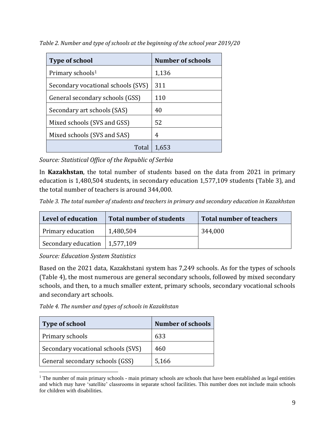| <b>Type of school</b>              | <b>Number of schools</b> |
|------------------------------------|--------------------------|
| Primary schools <sup>1</sup>       | 1,136                    |
| Secondary vocational schools (SVS) | 311                      |
| General secondary schools (GSS)    | 110                      |
| Secondary art schools (SAS)        | 40                       |
| Mixed schools (SVS and GSS)        | 52                       |
| Mixed schools (SVS and SAS)        | 4                        |
| Total                              | 1,653                    |

<span id="page-8-0"></span>*Table 2. Number and type of schools at the beginning of the school year 2019/20*

*Source: Statistical Office of the Republic of Serbia* 

In **Kazakhstan**, the total number of students based on the data from 2021 in primary education is 1,480,504 students, in secondary education 1,577,109 students (Table 3), and the total number of teachers is around 344,000.

<span id="page-8-1"></span>*Table 3. The total number of students and teachers in primary and secondary education in Kazakhstan*

| Level of education  | <b>Total number of students</b> | <b>Total number of teachers</b> |
|---------------------|---------------------------------|---------------------------------|
| Primary education   | 1,480,504                       | 344,000                         |
| Secondary education | 1,577,109                       |                                 |

*Source: Education System Statistics*

Based on the 2021 data, Kazakhstani system has 7,249 schools. As for the types of schools (Table 4), the most numerous are general secondary schools, followed by mixed secondary schools, and then, to a much smaller extent, primary schools, secondary vocational schools and secondary art schools.

<span id="page-8-2"></span>*Table 4. The number and types of schools in Kazakhstan*

| <b>Type of school</b>              | <b>Number of schools</b> |
|------------------------------------|--------------------------|
| Primary schools                    | 633                      |
| Secondary vocational schools (SVS) | 460                      |
| General secondary schools (GSS)    | 5,166                    |

<sup>&</sup>lt;sup>1</sup> The number of main primary schools - main primary schools are schools that have been established as legal entities and which may have 'satellite' classrooms in separate school facilities. This number does not include main schools for children with disabilities.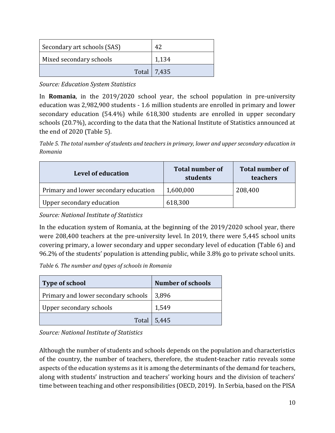| Secondary art schools (SAS) | 42 |               |
|-----------------------------|----|---------------|
| Mixed secondary schools     |    | 1,134         |
|                             |    | Total   7,435 |

*Source: Education System Statistics*

In **Romania**, in the 2019/2020 school year, the school population in pre-university education was 2,982,900 students - 1.6 million students are enrolled in primary and lower secondary education (54.4%) while 618,300 students are enrolled in upper secondary schools (20.7%), according to the data that the National Institute of Statistics announced at the end of 2020 (Table 5).

<span id="page-9-0"></span>*Table 5. The total number of students and teachers in primary, lower and upper secondary education in Romania*

| <b>Level of education</b>             | <b>Total number of</b><br>students | <b>Total number of</b><br>teachers |
|---------------------------------------|------------------------------------|------------------------------------|
| Primary and lower secondary education | 1,600,000                          | 208,400                            |
| Upper secondary education             | 618,300                            |                                    |

*Source: National Institute of Statistics*

In the education system of Romania, at the beginning of the 2019/2020 school year, there were 208,400 teachers at the pre-university level. In 2019, there were 5,445 school units covering primary, a lower secondary and upper secondary level of education (Table 6) and 96.2% of the students' population is attending public, while 3.8% go to private school units.

<span id="page-9-1"></span>*Table 6. The number and types of schools in Romania*

| <b>Type of school</b>               | <b>Number of schools</b> |
|-------------------------------------|--------------------------|
| Primary and lower secondary schools | 3,896                    |
| Upper secondary schools             | 1,549                    |
|                                     | Total 5,445              |

*Source: National Institute of Statistics*

Although the number of students and schools depends on the population and characteristics of the country, the number of teachers, therefore, the student-teacher ratio reveals some aspects of the education systems as it is among the determinants of the demand for teachers, along with students' instruction and teachers' working hours and the division of teachers' time between teaching and other responsibilities (OECD, 2019). In Serbia, based on the PISA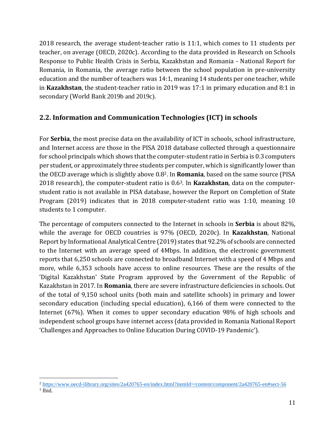2018 research, the average student-teacher ratio is 11:1, which comes to 11 students per teacher, on average (OECD, 2020c). According to the data provided in Research on Schools Response to Public Health Crisis in Serbia, Kazakhstan and Romania - National Report for Romania, in Romania, the average ratio between the school population in pre-university education and the number of teachers was 14:1, meaning 14 students per one teacher, while in **Kazakhstan**, the student-teacher ratio in 2019 was 17:1 in primary education and 8:1 in secondary (World Bank 2019b and 2019c).

#### <span id="page-10-0"></span>**2.2. Information and Communication Technologies (ICT) in schools**

For **Serbia**, the most precise data on the availability of ICT in schools, school infrastructure, and Internet access are those in the PISA 2018 database collected through a questionnaire for school principals which shows that the computer-student ratio in Serbia is 0.3 computers per student, or approximately three students per computer, which is significantly lower than the OECD average which is slightly above 0.82. In **Romania**, based on the same source (PISA 2018 research), the computer-student ratio is 0.63. In **Kazakhstan**, data on the computerstudent ratio is not available in PISA database, however the Report on Completion of State Program (2019) indicates that in 2018 computer-student ratio was 1:10, meaning 10 students to 1 computer.

The percentage of computers connected to the Internet in schools in **Serbia** is about 82%, while the average for OECD countries is 97% (OECD, 2020c). In **Kazakhstan**, National Report by Informational Analytical Centre (2019) states that 92.2% of schools are connected to the Internet with an average speed of 4Mbps. In addition, the electronic government reports that 6,250 schools are connected to broadband Internet with a speed of 4 Mbps and more, while 6,353 schools have access to online resources. These are the results of the 'Digital Kazakhstan' State Program approved by the Government of the Republic of Kazakhstan in 2017. In **Romania**, there are severe infrastructure deficiencies in schools. Out of the total of 9,150 school units (both main and satellite schools) in primary and lower secondary education (including special education), 6,166 of them were connected to the Internet (67%). When it comes to upper secondary education 98% of high schools and independent school groups have internet access (data provided in Romania National Report 'Challenges and Approaches to Online Education During COVID-19 Pandemic').

<sup>2</sup> <https://www.oecd-ilibrary.org/sites/2a420765-en/index.html?itemId=/content/component/2a420765-en#sect-56>

<sup>3</sup> Ibid.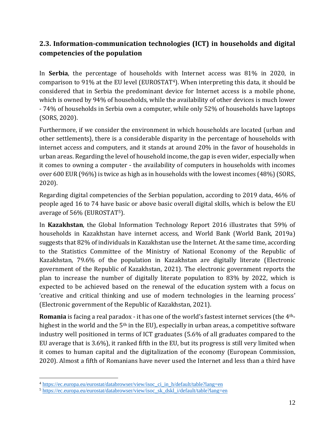## <span id="page-11-0"></span>**2.3. Information-communication technologies (ICT) in households and digital competencies of the population**

In **Serbia**, the percentage of households with Internet access was 81% in 2020, in comparison to 91% at the EU level (EUROSTAT4). When interpreting this data, it should be considered that in Serbia the predominant device for Internet access is a mobile phone, which is owned by 94% of households, while the availability of other devices is much lower - 74% of households in Serbia own a computer, while only 52% of households have laptops (SORS, 2020).

Furthermore, if we consider the environment in which households are located (urban and other settlements), there is a considerable disparity in the percentage of households with internet access and computers, and it stands at around 20% in the favor of households in urban areas. Regarding the level of household income, the gap is even wider, especially when it comes to owning a computer - the availability of computers in households with incomes over 600 EUR (96%) is twice as high as in households with the lowest incomes (48%) (SORS, 2020).

Regarding digital competencies of the Serbian population, according to 2019 data, 46% of people aged 16 to 74 have basic or above basic overall digital skills, which is below the EU average of 56% (EUROSTAT5).

In **Kazakhstan**, the Global Information Technology Report 2016 illustrates that 59% of households in Kazakhstan have internet access, and World Bank (World Bank, 2019a) suggests that 82% of individuals in Kazakhstan use the Internet. At the same time, according to the Statistics Committee of the Ministry of National Economy of the Republic of Kazakhstan, 79.6% of the population in Kazakhstan are digitally literate (Electronic government of the Republic of Kazakhstan, 2021). The electronic government reports the plan to increase the number of digitally literate population to 83% by 2022, which is expected to be achieved based on the renewal of the education system with a focus on 'creative and critical thinking and use of modern technologies in the learning process' (Electronic government of the Republic of Kazakhstan, 2021).

**Romania** is facing a real paradox - it has one of the world's fastest internet services (the 4thhighest in the world and the 5<sup>th</sup> in the EU), especially in urban areas, a competitive software industry well positioned in terms of ICT graduates (5.6% of all graduates compared to the EU average that is 3.6%), it ranked fifth in the EU, but its progress is still very limited when it comes to human capital and the digitalization of the economy (European Commission, 2020). Almost a fifth of Romanians have never used the Internet and less than a third have

<sup>4</sup> [https://ec.europa.eu/eurostat/databrowser/view/isoc\\_ci\\_in\\_h/default/table?lang=en](https://ec.europa.eu/eurostat/databrowser/view/isoc_ci_in_h/default/table?lang=en)

<sup>5</sup> [https://ec.europa.eu/eurostat/databrowser/view/isoc\\_sk\\_dskl\\_i/default/table?lang=en](https://ec.europa.eu/eurostat/databrowser/view/isoc_sk_dskl_i/default/table?lang=en)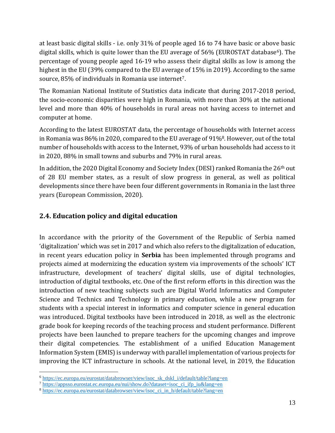at least basic digital skills - i.e. only 31% of people aged 16 to 74 have basic or above basic digital skills, which is quite lower than the EU average of  $56\%$  (EUROSTAT database<sup>6</sup>). The percentage of young people aged 16-19 who assess their digital skills as low is among the highest in the EU (39% compared to the EU average of 15% in 2019). According to the same source, 85% of individuals in Romania use internet7.

The Romanian National Institute of Statistics data indicate that during 2017-2018 period, the socio-economic disparities were high in Romania, with more than 30% at the national level and more than 40% of households in rural areas not having access to internet and computer at home.

According to the latest EUROSTAT data, the percentage of households with Internet access in Romania was 86% in 2020, compared to the EU average of 91%8. However, out of the total number of households with access to the Internet, 93% of urban households had access to it in 2020, 88% in small towns and suburbs and 79% in rural areas.

In addition, the 2020 Digital Economy and Society Index (DESI) ranked Romania the 26<sup>th</sup> out of 28 EU member states, as a result of slow progress in general, as well as political developments since there have been four different governments in Romania in the last three years (European Commission, 2020).

## <span id="page-12-0"></span>**2.4. Education policy and digital education**

In accordance with the priority of the Government of the Republic of Serbia named 'digitalization' which was set in 2017 and which also refers to the digitalization of education, in recent years education policy in **Serbia** has been implemented through programs and projects aimed at modernizing the education system via improvements of the schools' ICT infrastructure, development of teachers' digital skills, use of digital technologies, introduction of digital textbooks, etc. One of the first reform efforts in this direction was the introduction of new teaching subjects such are Digital World Informatics and Computer Science and Technics and Technology in primary education, while a new program for students with a special interest in informatics and computer science in general education was introduced. Digital textbooks have been introduced in 2018, as well as the electronic grade book for keeping records of the teaching process and student performance. Different projects have been launched to prepare teachers for the upcoming changes and improve their digital competencies. The establishment of a unified Education Management Information System (EMIS) is underway with parallel implementation of various projects for improving the ICT infrastructure in schools. At the national level, in 2019, the Education

<sup>6</sup> [https://ec.europa.eu/eurostat/databrowser/view/isoc\\_sk\\_dskl\\_i/default/table?lang=en](https://ec.europa.eu/eurostat/databrowser/view/isoc_sk_dskl_i/default/table?lang=en)

<sup>7</sup> [https://appsso.eurostat.ec.europa.eu/nui/show.do?dataset=isoc\\_ci\\_ifp\\_iu&lang=en](https://appsso.eurostat.ec.europa.eu/nui/show.do?dataset=isoc_ci_ifp_iu&lang=en)

<sup>8</sup> [https://ec.europa.eu/eurostat/databrowser/view/isoc\\_ci\\_in\\_h/default/table?lang=en](https://ec.europa.eu/eurostat/databrowser/view/isoc_ci_in_h/default/table?lang=en)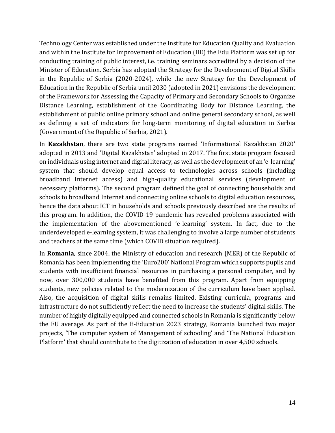Technology Center was established under the Institute for Education Quality and Evaluation and within the Institute for Improvement of Education (IIE) the Edu Platform was set up for conducting training of public interest, i.e. training seminars accredited by a decision of the Minister of Education. Serbia has adopted the Strategy for the Development of Digital Skills in the Republic of Serbia (2020-2024), while the new Strategy for the Development of Education in the Republic of Serbia until 2030 (adopted in 2021) envisions the development of the Framework for Assessing the Capacity of Primary and Secondary Schools to Organize Distance Learning, establishment of the Coordinating Body for Distance Learning, the establishment of public online primary school and online general secondary school, as well as defining a set of indicators for long-term monitoring of digital education in Serbia (Government of the Republic of Serbia, 2021).

In **Kazakhstan**, there are two state programs named 'Informational Kazakhstan 2020' adopted in 2013 and 'Digital Kazakhstan' adopted in 2017. The first state program focused on individuals using internet and digital literacy, as well as the development of an 'e-learning' system that should develop equal access to technologies across schools (including broadband Internet access) and high-quality educational services (development of necessary platforms). The second program defined the goal of connecting households and schools to broadband Internet and connecting online schools to digital education resources, hence the data about ICT in households and schools previously described are the results of this program. In addition, the COVID-19 pandemic has revealed problems associated with the implementation of the abovementioned 'e-learning' system. In fact, due to the underdeveloped e-learning system, it was challenging to involve a large number of students and teachers at the same time (which COVID situation required).

In **Romania**, since 2004, the Ministry of education and research (MER) of the Republic of Romania has been implementing the 'Euro200' National Program which supports pupils and students with insufficient financial resources in purchasing a personal computer, and by now, over 300,000 students have benefited from this program. Apart from equipping students, new policies related to the modernization of the curriculum have been applied. Also, the acquisition of digital skills remains limited. Existing curricula, programs and infrastructure do not sufficiently reflect the need to increase the students' digital skills. The number of highly digitally equipped and connected schools in Romania is significantly below the EU average. As part of the E-Education 2023 strategy, Romania launched two major projects, 'The computer system of Management of schooling' and 'The National Education Platform' that should contribute to the digitization of education in over 4,500 schools.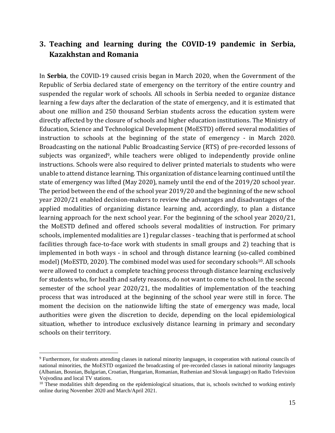## <span id="page-14-0"></span>**3. Teaching and learning during the COVID-19 pandemic in Serbia, Kazakhstan and Romania**

In **Serbia**, the COVID-19 caused crisis began in March 2020, when the Government of the Republic of Serbia declared state of emergency on the territory of the entire country and suspended the regular work of schools. All schools in Serbia needed to organize distance learning a few days after the declaration of the state of emergency, and it is estimated that about one million and 250 thousand Serbian students across the education system were directly affected by the closure of schools and higher education institutions. The Ministry of Education, Science and Technological Development (MoESTD) offered several modalities of instruction to schools at the beginning of the state of emergency - in March 2020. Broadcasting on the national Public Broadcasting Service (RTS) of pre-recorded lessons of subjects was organized<sup>9</sup>, while teachers were obliged to independently provide online instructions. Schools were also required to deliver printed materials to students who were unable to attend distance learning. This organization of distance learning continued until the state of emergency was lifted (May 2020), namely until the end of the 2019/20 school year. The period between the end of the school year 2019/20 and the beginning of the new school year 2020/21 enabled decision-makers to review the advantages and disadvantages of the applied modalities of organizing distance learning and, accordingly, to plan a distance learning approach for the next school year. For the beginning of the school year 2020/21, the MoESTD defined and offered schools several modalities of instruction. For primary schools, implemented modalities are 1) regular classes - teaching that is performed at school facilities through face-to-face work with students in small groups and 2) teaching that is implemented in both ways - in school and through distance learning (so-called combined model) (MoESTD, 2020). The combined model was used for secondary schools<sup>10</sup>. All schools were allowed to conduct a complete teaching process through distance learning exclusively for students who, for health and safety reasons, do not want to come to school. In the second semester of the school year 2020/21, the modalities of implementation of the teaching process that was introduced at the beginning of the school year were still in force. The moment the decision on the nationwide lifting the state of emergency was made, local authorities were given the discretion to decide, depending on the local epidemiological situation, whether to introduce exclusively distance learning in primary and secondary schools on their territory.

<sup>9</sup> Furthermore, for students attending classes in national minority languages, in cooperation with national councils of national minorities, the MoESTD organized the broadcasting of pre-recorded classes in national minority languages (Albanian, Bosnian, Bulgarian, Croatian, Hungarian, Romanian, Ruthenian and Slovak language) on Radio Television Vojvodina and local TV stations.

 $10$  These modalities shift depending on the epidemiological situations, that is, schools switched to working entirely online during November 2020 and March/April 2021.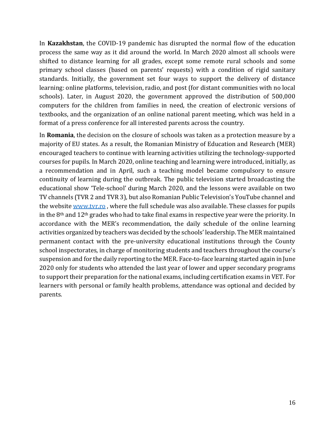In **Kazakhstan**, the COVID-19 pandemic has disrupted the normal flow of the education process the same way as it did around the world. In March 2020 almost all schools were shifted to distance learning for all grades, except some remote rural schools and some primary school classes (based on parents' requests) with a condition of rigid sanitary standards. Initially, the government set four ways to support the delivery of distance learning: online platforms, television, radio, and post (for distant communities with no local schools). Later, in August 2020, the government approved the distribution of 500,000 computers for the children from families in need, the creation of electronic versions of textbooks, and the organization of an online national parent meeting, which was held in a format of a press conference for all interested parents across the country.

In **Romania**, the decision on the closure of schools was taken as a protection measure by a majority of EU states. As a result, the Romanian Ministry of Education and Research (MER) encouraged teachers to continue with learning activities utilizing the technology-supported courses for pupils. In March 2020, online teaching and learning were introduced, initially, as a recommendation and in April, such a teaching model became compulsory to ensure continuity of learning during the outbreak. The public television started broadcasting the educational show 'Tele-school' during March 2020, and the lessons were available on two TV channels (TVR 2 and TVR 3), but also Romanian Public Television's YouTube channel and the website [www.tvr.ro](http://www.tvr.ro/), where the full schedule was also available. These classes for pupils in the 8th and 12th grades who had to take final exams in respective year were the priority. In accordance with the MER's recommendation, the daily schedule of the online learning activities organized by teachers was decided by the schools' leadership. The MER maintained permanent contact with the pre-university educational institutions through the County school inspectorates, in charge of monitoring students and teachers throughout the course's suspension and for the daily reporting to the MER. Face-to-face learning started again in June 2020 only for students who attended the last year of lower and upper secondary programs to support their preparation for the national exams, including certification exams in VET. For learners with personal or family health problems, attendance was optional and decided by parents.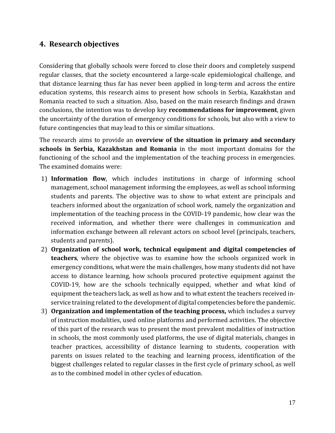## <span id="page-16-0"></span>**4. Research objectives**

Considering that globally schools were forced to close their doors and completely suspend regular classes, that the society encountered a large-scale epidemiological challenge, and that distance learning thus far has never been applied in long-term and across the entire education systems, this research aims to present how schools in Serbia, Kazakhstan and Romania reacted to such a situation. Also, based on the main research findings and drawn conclusions, the intention was to develop key **recommendations for improvement**, given the uncertainty of the duration of emergency conditions for schools, but also with a view to future contingencies that may lead to this or similar situations.

The research aims to provide an **overview of the situation in primary and secondary schools in Serbia, Kazakhstan and Romania** in the most important domains for the functioning of the school and the implementation of the teaching process in emergencies. The examined domains were:

- 1) **Information flow**, which includes institutions in charge of informing school management, school management informing the employees, as well as school informing students and parents. The objective was to show to what extent are principals and teachers informed about the organization of school work, namely the organization and implementation of the teaching process in the COVID-19 pandemic, how clear was the received information, and whether there were challenges in communication and information exchange between all relevant actors on school level (principals, teachers, students and parents).
- 2) **Organization of school work, technical equipment and digital competencies of teachers**, where the objective was to examine how the schools organized work in emergency conditions, what were the main challenges, how many students did not have access to distance learning, how schools procured protective equipment against the COVID-19, how are the schools technically equipped, whether and what kind of equipment the teachers lack, as well as how and to what extent the teachers received inservice training related to the development of digital competencies before the pandemic.
- 3) **Organization and implementation of the teaching process,** which includes a survey of instruction modalities, used online platforms and performed activities. The objective of this part of the research was to present the most prevalent modalities of instruction in schools, the most commonly used platforms, the use of digital materials, changes in teacher practices, accessibility of distance learning to students, cooperation with parents on issues related to the teaching and learning process, identification of the biggest challenges related to regular classes in the first cycle of primary school, as well as to the combined model in other cycles of education.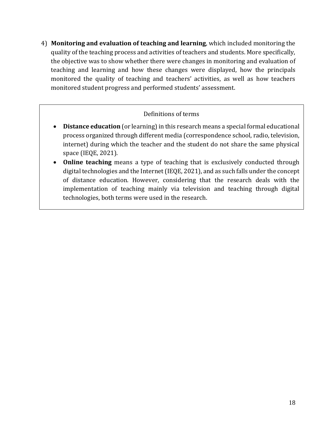4) **Monitoring and evaluation of teaching and learning**, which included monitoring the quality of the teaching process and activities of teachers and students. More specifically, the objective was to show whether there were changes in monitoring and evaluation of teaching and learning and how these changes were displayed, how the principals monitored the quality of teaching and teachers' activities, as well as how teachers monitored student progress and performed students' assessment.

#### Definitions of terms

- **Distance education** (or learning) in this research means a special formal educational process organized through different media (correspondence school, radio, television, internet) during which the teacher and the student do not share the same physical space (IEQE, 2021).
- **Online teaching** means a type of teaching that is exclusively conducted through digital technologies and the Internet (IEQE, 2021), and as such falls under the concept of distance education. However, considering that the research deals with the implementation of teaching mainly via television and teaching through digital technologies, both terms were used in the research.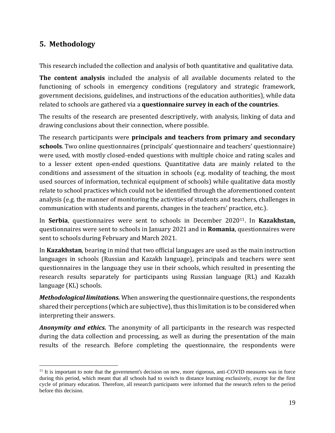## <span id="page-18-0"></span>**5. Methodology**

This research included the collection and analysis of both quantitative and qualitative data.

**The content analysis** included the analysis of all available documents related to the functioning of schools in emergency conditions (regulatory and strategic framework, government decisions, guidelines, and instructions of the education authorities), while data related to schools are gathered via a **questionnaire survey in each of the countries**.

The results of the research are presented descriptively, with analysis, linking of data and drawing conclusions about their connection, where possible.

The research participants were **principals and teachers from primary and secondary schools**. Two online questionnaires (principals' questionnaire and teachers' questionnaire) were used, with mostly closed-ended questions with multiple choice and rating scales and to a lesser extent open-ended questions. Quantitative data are mainly related to the conditions and assessment of the situation in schools (e.g. modality of teaching, the most used sources of information, technical equipment of schools) while qualitative data mostly relate to school practices which could not be identified through the aforementioned content analysis (e.g. the manner of monitoring the activities of students and teachers, challenges in communication with students and parents, changes in the teachers' practice, etc.).

In **Serbia**, questionnaires were sent to schools in December 202011. In **Kazakhstan,** questionnaires were sent to schools in January 2021 and in **Romania**, questionnaires were sent to schools during February and March 2021.

In **Kazakhstan**, bearing in mind that two official languages are used as the main instruction languages in schools (Russian and Kazakh language), principals and teachers were sent questionnaires in the language they use in their schools, which resulted in presenting the research results separately for participants using Russian language (RL) and Kazakh language (KL) schools.

*Methodological limitations.* When answering the questionnaire questions, the respondents shared their perceptions (which are subjective), thus this limitation is to be considered when interpreting their answers.

*Anonymity and ethics.* The anonymity of all participants in the research was respected during the data collection and processing, as well as during the presentation of the main results of the research. Before completing the questionnaire, the respondents were

 $11$  It is important to note that the government's decision on new, more rigorous, anti-COVID measures was in force during this period, which meant that all schools had to switch to distance learning exclusively, except for the first cycle of primary education. Therefore, all research participants were informed that the research refers to the period before this decision.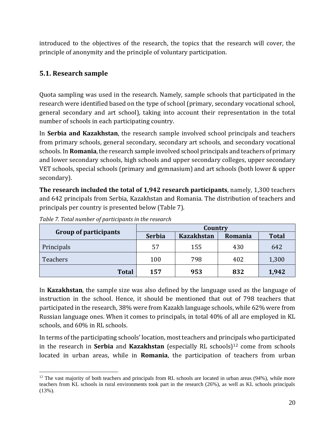introduced to the objectives of the research, the topics that the research will cover, the principle of anonymity and the principle of voluntary participation*.*

## <span id="page-19-0"></span>**5.1. Research sample**

Quota sampling was used in the research. Namely, sample schools that participated in the research were identified based on the type of school (primary, secondary vocational school, general secondary and art school), taking into account their representation in the total number of schools in each participating country.

In **Serbia and Kazakhstan**, the research sample involved school principals and teachers from primary schools, general secondary, secondary art schools, and secondary vocational schools. In **Romania**, the research sample involved school principals and teachers of primary and lower secondary schools, high schools and upper secondary colleges, upper secondary VET schools, special schools (primary and gymnasium) and art schools (both lower & upper secondary).

**The research included the total of 1,942 research participants**, namely, 1,300 teachers and 642 principals from Serbia, Kazakhstan and Romania. The distribution of teachers and principals per country is presented below (Table 7).

|                              | Country       |                   |         |              |
|------------------------------|---------------|-------------------|---------|--------------|
| <b>Group of participants</b> | <b>Serbia</b> | <b>Kazakhstan</b> | Romania | <b>Total</b> |
| Principals                   | 57            | 155               | 430     | 642          |
| <b>Teachers</b>              | 100           | 798               | 402     | 1,300        |
| <b>Total</b>                 | 157           | 953               | 832     | 1,942        |

<span id="page-19-1"></span>*Table 7. Total number of participants in the research*

In **Kazakhstan**, the sample size was also defined by the language used as the language of instruction in the school. Hence, it should be mentioned that out of 798 teachers that participated in the research, 38% were from Kazakh language schools, while 62% were from Russian language ones. When it comes to principals, in total 40% of all are employed in KL schools, and 60% in RL schools.

In terms of the participating schools' location, most teachers and principals who participated in the research in **Serbia** and **Kazakhstan** (especially RL schools)<sup>12</sup> come from schools located in urban areas, while in **Romania**, the participation of teachers from urban

 $12$  The vast majority of both teachers and principals from RL schools are located in urban areas (94%), while more teachers from KL schools in rural environments took part in the research (26%), as well as KL schools principals (13%).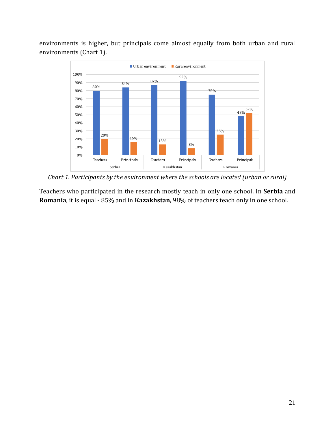environments is higher, but principals come almost equally from both urban and rural environments (Chart 1).



<span id="page-20-0"></span>*Chart 1. Participants by the environment where the schools are located (urban or rural)*

Teachers who participated in the research mostly teach in only one school. In **Serbia** and **Romania**, it is equal - 85% and in **Kazakhstan,** 98% of teachers teach only in one school.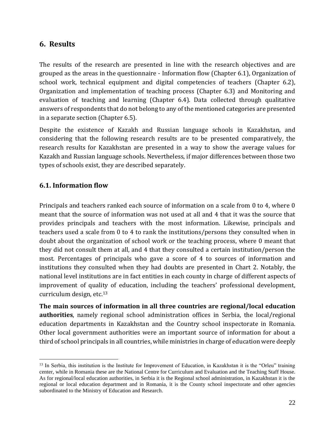#### <span id="page-21-0"></span>**6. Results**

The results of the research are presented in line with the research objectives and are grouped as the areas in the questionnaire - Information flow (Chapter 6.1), Organization of school work, technical equipment and digital competencies of teachers (Chapter 6.2), Organization and implementation of teaching process (Chapter 6.3) and Monitoring and evaluation of teaching and learning (Chapter 6.4). Data collected through qualitative answers of respondents that do not belong to any of the mentioned categories are presented in a separate section (Chapter 6.5).

Despite the existence of Kazakh and Russian language schools in Kazakhstan, and considering that the following research results are to be presented comparatively, the research results for Kazakhstan are presented in a way to show the average values for Kazakh and Russian language schools. Nevertheless, if major differences between those two types of schools exist, they are described separately.

#### <span id="page-21-1"></span>**6.1. Information flow**

Principals and teachers ranked each source of information on a scale from 0 to 4, where 0 meant that the source of information was not used at all and 4 that it was the source that provides principals and teachers with the most information. Likewise, principals and teachers used a scale from 0 to 4 to rank the institutions/persons they consulted when in doubt about the organization of school work or the teaching process, where 0 meant that they did not consult them at all, and 4 that they consulted a certain institution/person the most. Percentages of principals who gave a score of 4 to sources of information and institutions they consulted when they had doubts are presented in Chart 2. Notably, the national level institutions are in fact entities in each county in charge of different aspects of improvement of quality of education, including the teachers' professional development, curriculum design, etc. 13

**The main sources of information in all three countries are regional/local education authorities**, namely regional school administration offices in Serbia, the local/regional education departments in Kazakhstan and the Country school inspectorate in Romania. Other local government authorities were an important source of information for about a third of school principals in all countries, while ministries in charge of education were deeply

<sup>&</sup>lt;sup>13</sup> In Serbia, this institution is the Institute for Improvement of Education, in Kazakhstan it is the "Orleu" training center, while in Romania these are the National Centre for Curriculum and Evaluation and the Teaching Staff House. As for regional/local education authorities, in Serbia it is the Regional school administration, in Kazakhstan it is the regional or local education department and in Romania, it is the County school inspectorate and other agencies subordinated to the Ministry of Education and Research.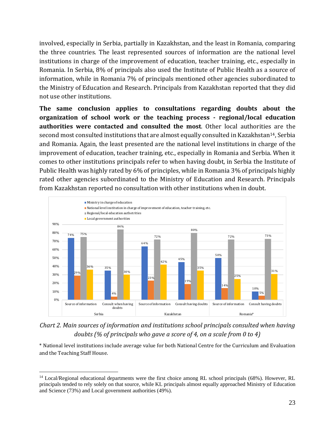involved, especially in Serbia, partially in Kazakhstan, and the least in Romania, comparing the three countries. The least represented sources of information are the national level institutions in charge of the improvement of education, teacher training, etc., especially in Romania. In Serbia, 8% of principals also used the Institute of Public Health as a source of information, while in Romania 7% of principals mentioned other agencies subordinated to the Ministry of Education and Research. Principals from Kazakhstan reported that they did not use other institutions.

**The same conclusion applies to consultations regarding doubts about the organization of school work or the teaching process - regional/local education authorities were contacted and consulted the most**. Other local authorities are the second most consulted institutions that are almost equally consulted in Kazakhstan<sup>14</sup>, Serbia and Romania. Again, the least presented are the national level institutions in charge of the improvement of education, teacher training, etc., especially in Romania and Serbia. When it comes to other institutions principals refer to when having doubt, in Serbia the Institute of Public Health was highly rated by 6% of principles, while in Romania 3% of principals highly rated other agencies subordinated to the Ministry of Education and Research. Principals from Kazakhstan reported no consultation with other institutions when in doubt.



<span id="page-22-0"></span>*Chart 2. Main sources of information and institutions school principals consulted when having doubts (% of principals who gave a score of 4, on a scale from 0 to 4)*

\* National level institutions include average value for both National Centre for the Curriculum and Evaluation and the Teaching Staff House.

<sup>&</sup>lt;sup>14</sup> Local/Regional educational departments were the first choice among RL school principals (68%). However, RL principals tended to rely solely on that source, while KL principals almost equally approached Ministry of Education and Science (73%) and Local government authorities (49%).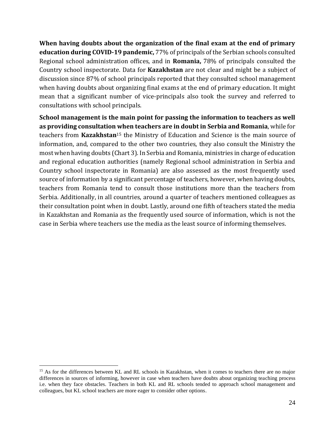**When having doubts about the organization of the final exam at the end of primary education during COVID-19 pandemic,** 77% of principals of the Serbian schools consulted Regional school administration offices, and in **Romania,** 78% of principals consulted the Country school inspectorate. Data for **Kazakhstan** are not clear and might be a subject of discussion since 87% of school principals reported that they consulted school management when having doubts about organizing final exams at the end of primary education. It might mean that a significant number of vice-principals also took the survey and referred to consultations with school principals.

**School management is the main point for passing the information to teachers as well as providing consultation when teachers are in doubt in Serbia and Romania**, while for teachers from **Kazakhstan**<sup>15</sup> the Ministry of Education and Science is the main source of information, and, compared to the other two countries, they also consult the Ministry the most when having doubts (Chart 3). In Serbia and Romania, ministries in charge of education and regional education authorities (namely Regional school administration in Serbia and Country school inspectorate in Romania) are also assessed as the most frequently used source of information by a significant percentage of teachers, however, when having doubts, teachers from Romania tend to consult those institutions more than the teachers from Serbia. Additionally, in all countries, around a quarter of teachers mentioned colleagues as their consultation point when in doubt. Lastly, around one fifth of teachers stated the media in Kazakhstan and Romania as the frequently used source of information, which is not the case in Serbia where teachers use the media as the least source of informing themselves.

<sup>&</sup>lt;sup>15</sup> As for the differences between KL and RL schools in Kazakhstan, when it comes to teachers there are no major differences in sources of informing, however in case when teachers have doubts about organizing teaching process i.e. when they face obstacles. Teachers in both KL and RL schools tended to approach school management and colleagues, but KL school teachers are more eager to consider other options.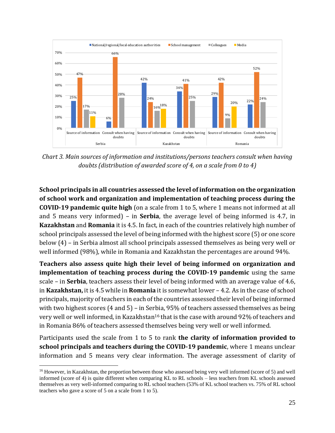

<span id="page-24-0"></span>*Chart 3. Main sources of information and institutions/persons teachers consult when having doubts (distribution of awarded score of 4, on a scale from 0 to 4)*

**School principals in all countries assessed the level of information on the organization of school work and organization and implementation of teaching process during the COVID-19 pandemic quite high** (on a scale from 1 to 5, where 1 means not informed at all and 5 means very informed) – in **Serbia**, the average level of being informed is 4.7, in **Kazakhstan** and **Romania** it is 4.5. In fact, in each of the countries relatively high number of school principals assessed the level of being informed with the highest score (5) or one score below (4) – in Serbia almost all school principals assessed themselves as being very well or well informed (98%), while in Romania and Kazakhstan the percentages are around 94%.

**Teachers also assess quite high their level of being informed on organization and implementation of teaching process during the COVID-19 pandemic** using the same scale – in **Serbia**, teachers assess their level of being informed with an average value of 4.6, in **Kazakhstan,** it is 4.5 while in **Romania** it is somewhat lower – 4.2. As in the case of school principals, majority of teachers in each of the countries assessed their level of being informed with two highest scores (4 and 5) – in Serbia, 95% of teachers assessed themselves as being very well or well informed, in Kazakhstan<sup>16</sup> that is the case with around 92% of teachers and in Romania 86% of teachers assessed themselves being very well or well informed.

Participants used the scale from 1 to 5 to rank **the clarity of information provided to school principals and teachers during the COVID-19 pandemic**, where 1 means unclear information and 5 means very clear information. The average assessment of clarity of

<sup>&</sup>lt;sup>16</sup> However, in Kazakhstan, the proportion between those who assessed being very well informed (score of 5) and well informed (score of 4) is quite different when comparing KL to RL schools – less teachers from KL schools assessed themselves as very well-informed comparing to RL school teachers (53% of KL school teachers vs. 75% of RL school teachers who gave a score of 5 on a scale from 1 to 5).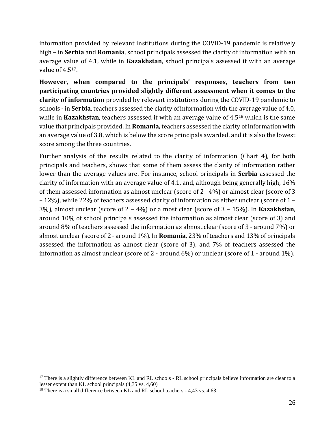information provided by relevant institutions during the COVID-19 pandemic is relatively high – in **Serbia** and **Romania**, school principals assessed the clarity of information with an average value of 4.1, while in **Kazakhstan**, school principals assessed it with an average value of 4.517.

**However, when compared to the principals' responses, teachers from two participating countries provided slightly different assessment when it comes to the clarity of information** provided by relevant institutions during the COVID-19 pandemic to schools - in **Serbia**, teachers assessed the clarity of information with the average value of 4.0, while in **Kazakhstan**, teachers assessed it with an average value of 4.5<sup>18</sup> which is the same value that principals provided. In **Romania,**teachers assessed the clarity of information with an average value of 3.8, which is below the score principals awarded, and it is also the lowest score among the three countries.

Further analysis of the results related to the clarity of information (Chart 4), for both principals and teachers, shows that some of them assess the clarity of information rather lower than the average values are. For instance, school principals in **Serbia** assessed the clarity of information with an average value of 4.1, and, although being generally high, 16% of them assessed information as almost unclear (score of 2– 4%) or almost clear (score of 3 – 12%), while 22% of teachers assessed clarity of information as either unclear (score of 1 – 3%), almost unclear (score of 2 – 4%) or almost clear (score of 3 – 15%). In **Kazakhstan**, around 10% of school principals assessed the information as almost clear (score of 3) and around 8% of teachers assessed the information as almost clear (score of 3 - around 7%) or almost unclear (score of 2 - around 1%). In **Romania**, 23% of teachers and 13% of principals assessed the information as almost clear (score of 3), and 7% of teachers assessed the information as almost unclear (score of 2 - around 6%) or unclear (score of 1 - around 1%).

<sup>&</sup>lt;sup>17</sup> There is a slightly difference between KL and RL schools - RL school principals believe information are clear to a lesser extent than KL school principals (4,35 vs. 4,60)

<sup>&</sup>lt;sup>18</sup> There is a small difference between KL and RL school teachers - 4,43 vs. 4,63.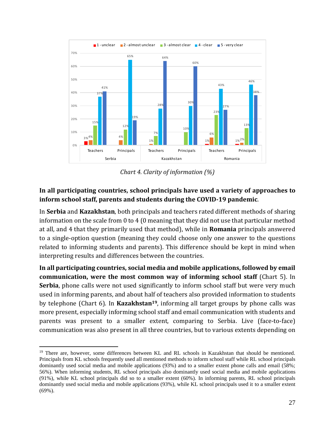

*Chart 4. Clarity of information (%)*

#### <span id="page-26-0"></span>**In all participating countries, school principals have used a variety of approaches to inform school staff, parents and students during the COVID-19 pandemic**.

In **Serbia** and **Kazakhstan**, both principals and teachers rated different methods of sharing information on the scale from 0 to 4 (0 meaning that they did not use that particular method at all, and 4 that they primarily used that method), while in **Romania** principals answered to a single-option question (meaning they could choose only one answer to the questions related to informing students and parents). This difference should be kept in mind when interpreting results and differences between the countries.

**In all participating countries, social media and mobile applications, followed by email communication, were the most common way of informing school staff (Chart 5).** In **Serbia**, phone calls were not used significantly to inform school staff but were very much used in informing parents, and about half of teachers also provided information to students by telephone (Chart 6). In **Kazakhstan19**, informing all target groups by phone calls was more present, especially informing school staff and email communication with students and parents was present to a smaller extent, comparing to Serbia. Live (face-to-face) communication was also present in all three countries, but to various extents depending on

<sup>&</sup>lt;sup>19</sup> There are, however, some differences between KL and RL schools in Kazakhstan that should be mentioned. Principals from KL schools frequently used all mentioned methods to inform school staff while RL school principals dominantly used social media and mobile applications (93%) and to a smaller extent phone calls and email (58%; 56%). When informing students, RL school principals also dominantly used social media and mobile applications (91%), while KL school principals did so to a smaller extent (60%). In informing parents, RL school principals dominantly used social media and mobile applications (93%), while KL school principals used it to a smaller extent (69%).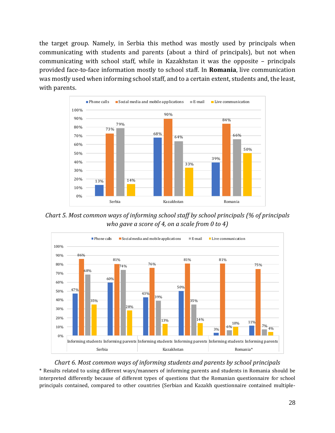the target group. Namely, in Serbia this method was mostly used by principals when communicating with students and parents (about a third of principals), but not when communicating with school staff, while in Kazakhstan it was the opposite – principals provided face-to-face information mostly to school staff. In **Romania**, live communication was mostly used when informing school staff, and to a certain extent, students and, the least, with parents.



<span id="page-27-0"></span>*Chart 5. Most common ways of informing school staff by school principals (% of principals who gave a score of 4, on a scale from 0 to 4)*



#### *Chart 6. Most common ways of informing students and parents by school principals*

<span id="page-27-1"></span>\* Results related to using different ways/manners of informing parents and students in Romania should be interpreted differently because of different types of questions that the Romanian questionnaire for school principals contained, compared to other countries (Serbian and Kazakh questionnaire contained multiple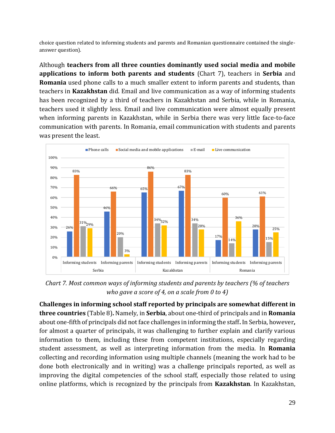choice question related to informing students and parents and Romanian questionnaire contained the singleanswer question).

Although **teachers from all three counties dominantly used social media and mobile applications to inform both parents and students** (Chart 7), teachers in **Serbia** and **Romania** used phone calls to a much smaller extent to inform parents and students, than teachers in **Kazakhstan** did. Email and live communication as a way of informing students has been recognized by a third of teachers in Kazakhstan and Serbia, while in Romania, teachers used it slightly less. Email and live communication were almost equally present when informing parents in Kazakhstan, while in Serbia there was very little face-to-face communication with parents. In Romania, email communication with students and parents was present the least.



<span id="page-28-0"></span>*Chart 7. Most common ways of informing students and parents by teachers (% of teachers who gave a score of 4, on a scale from 0 to 4)*

**Challenges in informing school staff reported by principals are somewhat different in three countries** (Table 8)**.** Namely, in **Serbia**, about one-third of principals and in **Romania** about one-fifth of principals did not face challenges in informing the staff**.** In Serbia, however**,**  for almost a quarter of principals, it was challenging to further explain and clarify various information to them, including these from competent institutions, especially regarding student assessment, as well as interpreting information from the media. In **Romania** collecting and recording information using multiple channels (meaning the work had to be done both electronically and in writing) was a challenge principals reported, as well as improving the digital competencies of the school staff, especially those related to using online platforms, which is recognized by the principals from **Kazakhstan**. In Kazakhstan,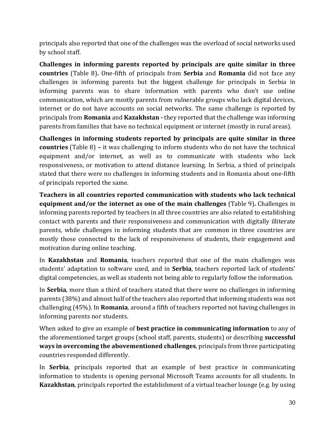principals also reported that one of the challenges was the overload of social networks used by school staff.

**Challenges in informing parents reported by principals are quite similar in three countries** (Table 8)**.** One-fifth of principals from **Serbia** and **Romania** did not face any challenges in informing parents but the biggest challenge for principals in Serbia in informing parents was to share information with parents who don't use online communication, which are mostly parents from vulnerable groups who lack digital devices, internet or do not have accounts on social networks. The same challenge is reported by principals from **Romania** and **Kazakhstan -** they reported that the challenge was informing parents from families that have no technical equipment or internet (mostly in rural areas).

**Challenges in informing students reported by principals are quite similar in three countries** (Table 8) **–** it was challenging to inform students who do not have the technical equipment and/or internet, as well as to communicate with students who lack responsiveness, or motivation to attend distance learning. In Serbia, a third of principals stated that there were no challenges in informing students and in Romania about one-fifth of principals reported the same.

**Teachers in all countries reported communication with students who lack technical equipment and/or the internet as one of the main challenges** (Table 9)**.** Challenges in informing parents reported by teachers in all three countries are also related to establishing contact with parents and their responsiveness and communication with digitally illiterate parents, while challenges in informing students that are common in three countries are mostly those connected to the lack of responsiveness of students, their engagement and motivation during online teaching.

In **Kazakhstan** and **Romania**, teachers reported that one of the main challenges was students' adaptation to software used, and in **Serbia**, teachers reported lack of students' digital competencies, as well as students not being able to regularly follow the information.

In **Serbia**, more than a third of teachers stated that there were no challenges in informing parents (38%) and almost half of the teachers also reported that informing students was not challenging (45%). In **Romania**, around a fifth of teachers reported not having challenges in informing parents nor students.

When asked to give an example of **best practice in communicating information** to any of the aforementioned target groups (school staff, parents, students) or describing **successful ways in overcoming the abovementioned challenges**, principals from three participating countries responded differently.

In **Serbia**, principals reported that an example of best practice in communicating information to students is opening personal Microsoft Teams accounts for all students. In **Kazakhstan**, principals reported the establishment of a virtual teacher lounge (e.g. by using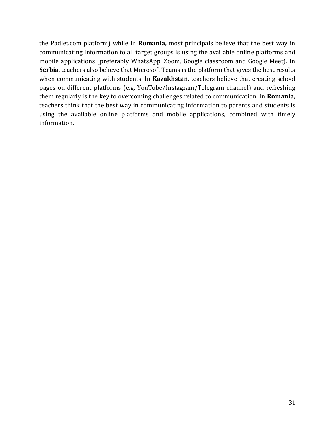the Padlet.com platform) while in **Romania,** most principals believe that the best way in communicating information to all target groups is using the available online platforms and mobile applications (preferably WhatsApp, Zoom, Google classroom and Google Meet). In **Serbia**, teachers also believe that Microsoft Teams is the platform that gives the best results when communicating with students. In **Kazakhstan**, teachers believe that creating school pages on different platforms (e.g. YouTube/Instagram/Telegram channel) and refreshing them regularly is the key to overcoming challenges related to communication. In **Romania,**  teachers think that the best way in communicating information to parents and students is using the available online platforms and mobile applications, combined with timely information.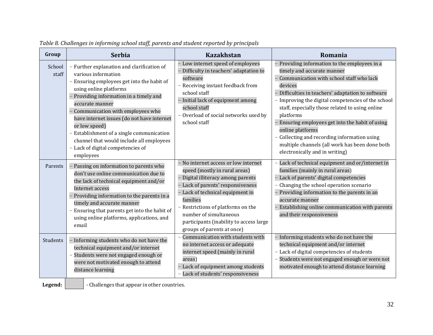<span id="page-31-0"></span>

| Group           | <b>Serbia</b>                                                                                                                                                                                                                                                                                                                                                                                                                                       | <b>Kazakhstan</b>                                                                                                                                                                                                                                                                                                                       | Romania                                                                                                                                                                                                                                                                                                                                                                                                                                                                                                                                    |
|-----------------|-----------------------------------------------------------------------------------------------------------------------------------------------------------------------------------------------------------------------------------------------------------------------------------------------------------------------------------------------------------------------------------------------------------------------------------------------------|-----------------------------------------------------------------------------------------------------------------------------------------------------------------------------------------------------------------------------------------------------------------------------------------------------------------------------------------|--------------------------------------------------------------------------------------------------------------------------------------------------------------------------------------------------------------------------------------------------------------------------------------------------------------------------------------------------------------------------------------------------------------------------------------------------------------------------------------------------------------------------------------------|
| School<br>staff | - Further explanation and clarification of<br>various information<br>- Ensuring employees get into the habit of<br>using online platforms<br>Providing information in a timely and<br>accurate manner<br>Communication with employees who<br>have internet issues (do not have internet<br>or low speed)<br>- Establishment of a single communication<br>channel that would include all employees<br>- Lack of digital competencies of<br>employees | - Low internet speed of employees<br>- Difficulty in teachers' adaptation to<br>software<br>- Receiving instant feedback from<br>school staff<br>- Initial lack of equipment among<br>school staff<br>- Overload of social networks used by<br>school staff                                                                             | - Providing information to the employees in a<br>timely and accurate manner<br>Communication with school staff who lack<br>$\overline{a}$<br>devices<br>- Difficulties in teachers' adaptation to software<br>- Improving the digital competencies of the school<br>staff, especially those related to using online<br>platforms<br>- Ensuring employees get into the habit of using<br>online platforms<br>Collecting and recording information using<br>multiple channels (all work has been done both<br>electronically and in writing) |
| Parents         | Passing on information to parents who<br>don't use online communication due to<br>the lack of technical equipment and/or<br>Internet access<br>Providing information to the parents in a<br>timely and accurate manner<br>- Ensuring that parents get into the habit of<br>using online platforms, applications, and<br>email                                                                                                                       | - No internet access or low internet<br>speed (mostly in rural areas)<br>- Digital illiteracy among parents<br>- Lack of parents' responsiveness<br>Lack of technical equipment in<br>families<br>- Restrictions of platforms on the<br>number of simultaneous<br>participants (inability to access large<br>groups of parents at once) | - Lack of technical equipment and or/internet in<br>families (mainly in rural areas)<br>- Lack of parents' digital competencies<br>Changing the school operation scenario<br>- Providing information to the parents in an<br>accurate manner<br>Establishing online communication with parents<br>and their responsiveness                                                                                                                                                                                                                 |
| Students        | Informing students who do not have the<br>technical equipment and/or internet<br>Students were not engaged enough or<br>were not motivated enough to attend<br>distance learning                                                                                                                                                                                                                                                                    | Communication with students with<br>no internet access or adequate<br>internet speed (mainly in rural<br>areas)<br>Lack of equipment among students<br>Lack of students' responsiveness                                                                                                                                                 | - Informing students who do not have the<br>technical equipment and/or internet<br>- Lack of digital competencies of students<br>Students were not engaged enough or were not<br>motivated enough to attend distance learning                                                                                                                                                                                                                                                                                                              |

*Table 8. Challenges in informing school staff, parents and student reported by principals*

**Legend:**  $\vert$  - Challenges that appear in other countries.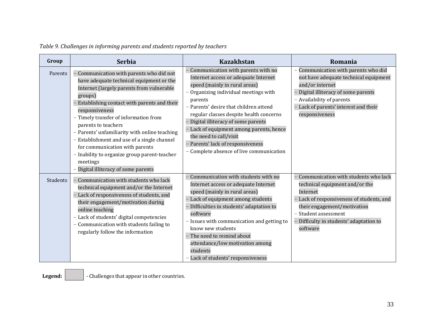<span id="page-32-0"></span>

| Group    | <b>Serbia</b>                                                                                                                                                                                                                                                                                                                                                                                                                                                                                                   | <b>Kazakhstan</b>                                                                                                                                                                                                                                                                                                                                                                                                                                     | Romania                                                                                                                                                                                                                                   |
|----------|-----------------------------------------------------------------------------------------------------------------------------------------------------------------------------------------------------------------------------------------------------------------------------------------------------------------------------------------------------------------------------------------------------------------------------------------------------------------------------------------------------------------|-------------------------------------------------------------------------------------------------------------------------------------------------------------------------------------------------------------------------------------------------------------------------------------------------------------------------------------------------------------------------------------------------------------------------------------------------------|-------------------------------------------------------------------------------------------------------------------------------------------------------------------------------------------------------------------------------------------|
| Parents  | Communication with parents who did not<br>have adequate technical equipment or the<br>Internet (largely parents from vulnerable<br>groups)<br>Establishing contact with parents and their<br>responsiveness<br>- Timely transfer of information from<br>parents to teachers<br>- Parents' unfamiliarity with online teaching<br>- Establishment and use of a single channel<br>for communication with parents<br>- Inability to organize group parent-teacher<br>meetings<br>Digital illiteracy of some parents | - Communication with parents with no<br>Internet access or adequate Internet<br>speed (mainly in rural areas)<br>- Organizing individual meetings with<br>parents<br>- Parents' desire that children attend<br>regular classes despite health concerns<br>- Digital illiteracy of some parents<br>- Lack of equipment among parents, hence<br>the need to call/visit<br>- Parents' lack of responsiveness<br>- Complete absence of live communication | - Communication with parents who did<br>not have adequate technical equipment<br>and/or internet<br>Digital illiteracy of some parents<br>- Availability of parents<br>Lack of parents' interest and their<br>responsiveness              |
| Students | Communication with students who lack<br>technical equipment and/or the Internet<br>- Lack of responsiveness of students, and<br>their engagement/motivation during<br>online teaching<br>- Lack of students' digital competencies<br>- Communication with students failing to<br>regularly follow the information                                                                                                                                                                                               | - Communication with students with no<br>Internet access or adequate Internet<br>speed (mainly in rural areas)<br>- Lack of equipment among students<br>Difficulties in students' adaptation to<br>software<br>- Issues with communication and getting to<br>know new students<br>- The need to remind about<br>attendance/low motivation among<br>students<br>- Lack of students' responsiveness                                                     | Communication with students who lack<br>technical equipment and/or the<br>Internet<br>Lack of responsiveness of students, and<br>their engagement/motivation<br>- Student assessment<br>Difficulty in students' adaptation to<br>software |

**Legend:**  $\vert$  - Challenges that appear in other countries.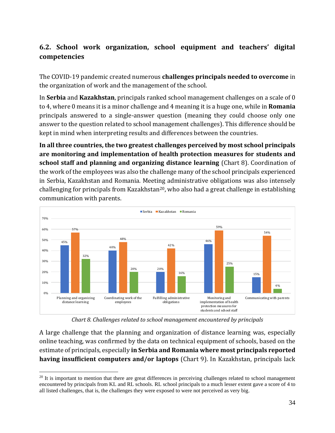## <span id="page-33-0"></span>**6.2. School work organization, school equipment and teachers' digital competencies**

The COVID-19 pandemic created numerous **challenges principals needed to overcome** in the organization of work and the management of the school.

In **Serbia** and **Kazakhstan**, principals ranked school management challenges on a scale of 0 to 4, where 0 means it is a minor challenge and 4 meaning it is a huge one, while in **Romania** principals answered to a single-answer question (meaning they could choose only one answer to the question related to school management challenges). This difference should be kept in mind when interpreting results and differences between the countries.

**In all three countries, the two greatest challenges perceived by most school principals are monitoring and implementation of health protection measures for students and school staff and planning and organizing distance learning** (Chart 8). Coordination of the work of the employees was also the challenge many of the school principals experienced in Serbia, Kazakhstan and Romania. Meeting administrative obligations was also intensely challenging for principals from Kazakhstan<sup>20</sup>, who also had a great challenge in establishing communication with parents.



*Chart 8. Challenges related to school management encountered by principals*

<span id="page-33-1"></span>A large challenge that the planning and organization of distance learning was, especially online teaching, was confirmed by the data on technical equipment of schools, based on the estimate of principals, especially **in Serbia and Romania where most principals reported having insufficient computers and/or laptops** (Chart 9). In Kazakhstan, principals lack

<sup>&</sup>lt;sup>20</sup> It is important to mention that there are great differences in perceiving challenges related to school management encountered by principals from KL and RL schools. RL school principals to a much lesser extent gave a score of 4 to all listed challenges, that is, the challenges they were exposed to were not perceived as very big.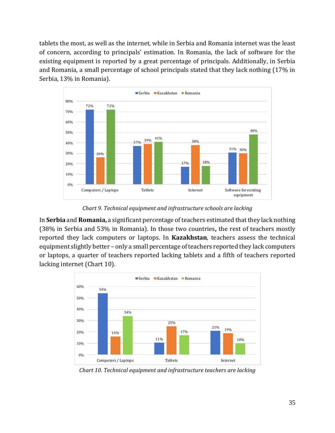tablets the most, as well as the internet, while in Serbia and Romania internet was the least of concern, according to principals' estimation. In Romania, the lack of software for the existing equipment is reported by a great percentage of principals. Additionally, in Serbia and Romania, a small percentage of school principals stated that they lack nothing (17% in Serbia, 13% in Romania).



*Chart 9. Technical equipment and infrastructure schools are lacking*

<span id="page-34-0"></span>In **Serbia** and **Romania,** a significant percentage of teachers estimated that they lack nothing (38% in Serbia and 53% in Romania). In those two countries**,** the rest of teachers mostly reported they lack computers or laptops. In **Kazakhstan**, teachers assess the technical equipment slightly better – only a small percentage of teachers reported they lack computers or laptops, a quarter of teachers reported lacking tablets and a fifth of teachers reported lacking internet (Chart 10).



<span id="page-34-1"></span>*Chart 10. Technical equipment and infrastructure teachers are lacking*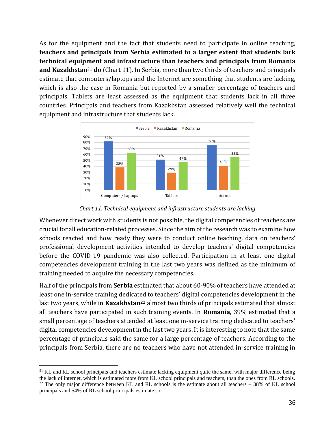As for the equipment and the fact that students need to participate in online teaching, **teachers and principals from Serbia estimated to a larger extent that students lack technical equipment and infrastructure than teachers and principals from Romania and Kazakhstan**<sup>21</sup> **do** (Chart 11). In Serbia, more than two thirds of teachers and principals estimate that computers/laptops and the Internet are something that students are lacking, which is also the case in Romania but reported by a smaller percentage of teachers and principals. Tablets are least assessed as the equipment that students lack in all three countries. Principals and teachers from Kazakhstan assessed relatively well the technical equipment and infrastructure that students lack.



*Chart 11. Technical equipment and infrastructure students are lacking* 

<span id="page-35-0"></span>Whenever direct work with students is not possible, the digital competencies of teachers are crucial for all education-related processes. Since the aim of the research was to examine how schools reacted and how ready they were to conduct online teaching, data on teachers' professional development activities intended to develop teachers' digital competencies before the COVID-19 pandemic was also collected. Participation in at least one digital competencies development training in the last two years was defined as the minimum of training needed to acquire the necessary competencies.

Half of the principals from **Serbia** estimated that about 60-90% of teachers have attended at least one in-service training dedicated to teachers' digital competencies development in the last two years, while in **Kazakhstan<sup>22</sup>** almost two thirds of principals estimated that almost all teachers have participated in such training events. In **Romania**, 39% estimated that a small percentage of teachers attended at least one in-service training dedicated to teachers' digital competencies development in the last two years. It is interesting to note that the same percentage of principals said the same for a large percentage of teachers. According to the principals from Serbia, there are no teachers who have not attended in-service training in

<sup>&</sup>lt;sup>21</sup> KL and RL school principals and teachers estimate lacking equipment quite the same, with major difference being the lack of internet, which is estimated more from KL school principals and teachers, than the ones from RL schools.  $22$  The only major difference between KL and RL schools is the estimate about all teachers – 38% of KL school principals and 54% of RL school principals estimate so.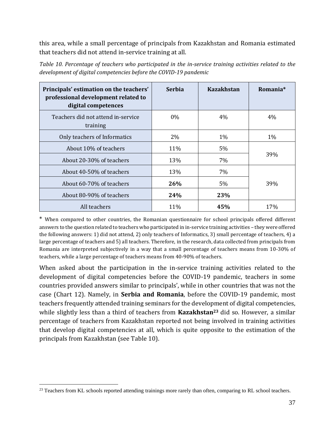this area, while a small percentage of principals from Kazakhstan and Romania estimated that teachers did not attend in-service training at all.

| Principals' estimation on the teachers'<br>professional development related to<br>digital competences | <b>Serbia</b> | <b>Kazakhstan</b> | Romania <sup>*</sup> |
|-------------------------------------------------------------------------------------------------------|---------------|-------------------|----------------------|
| Teachers did not attend in-service<br>training                                                        | 0%            | $4\%$             | $4\%$                |
| Only teachers of Informatics                                                                          | 2%            | $1\%$             | $1\%$                |
| About 10% of teachers                                                                                 | 11%           | 5%                |                      |
| About 20-30% of teachers                                                                              | 13%           | 7%                | 39%                  |
| About 40-50% of teachers                                                                              | 13%           | 7%                |                      |
| About 60-70% of teachers                                                                              | 26%           | $5\%$             | 39%                  |
| About 80-90% of teachers                                                                              | <b>24%</b>    | 23%               |                      |
| All teachers                                                                                          | 11%           | 45%               | 17%                  |

<span id="page-36-0"></span>*Table 10. Percentage of teachers who participated in the in-service training activities related to the development of digital competencies before the COVID-19 pandemic*

\* When compared to other countries, the Romanian questionnaire for school principals offered different answers to the question related to teachers who participated in in-service training activities – they were offered the following answers: 1) did not attend, 2) only teachers of Informatics, 3) small percentage of teachers, 4) a large percentage of teachers and 5) all teachers. Therefore, in the research, data collected from principals from Romania are interpreted subjectively in a way that a small percentage of teachers means from 10-30% of teachers, while a large percentage of teachers means from 40-90% of teachers.

When asked about the participation in the in-service training activities related to the development of digital competencies before the COVID-19 pandemic, teachers in some countries provided answers similar to principals', while in other countries that was not the case (Chart 12). Namely, in **Serbia and Romania**, before the COVID-19 pandemic, most teachers frequently attended training seminars for the development of digital competencies, while slightly less than a third of teachers from **Kazakhstan<sup>23</sup>** did so. However, a similar percentage of teachers from Kazakhstan reported not being involved in training activities that develop digital competencies at all, which is quite opposite to the estimation of the principals from Kazakhstan (see Table 10).

<sup>&</sup>lt;sup>23</sup> Teachers from KL schools reported attending trainings more rarely than often, comparing to RL school teachers.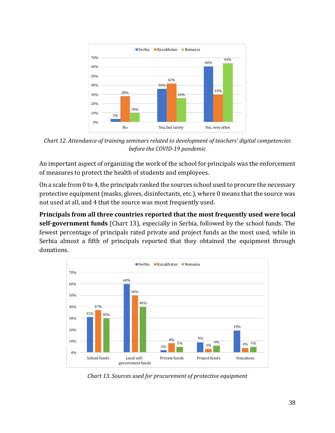

<span id="page-37-0"></span>*Chart 12. Attendance of training seminars related to development of teachers' digital competencies before the COVID-19 pandemic*

An important aspect of organizing the work of the school for principals was the enforcement of measures to protect the health of students and employees.

On a scale from 0 to 4, the principals ranked the sources school used to procure the necessary protective equipment (masks, gloves, disinfectants, etc.), where 0 means that the source was not used at all, and 4 that the source was most frequently used.

**Principals from all three countries reported that the most frequently used were local self-government funds** (Chart 13), especially in Serbia, followed by the school funds. The fewest percentage of principals rated private and project funds as the most used, while in Serbia almost a fifth of principals reported that they obtained the equipment through donations.



<span id="page-37-1"></span>*Chart 13. Sources used for procurement of protective equipment*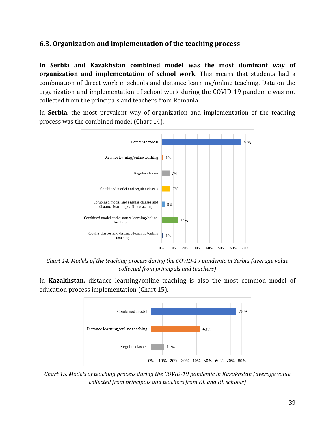#### <span id="page-38-0"></span>**6.3. Organization and implementation of the teaching process**

**In Serbia and Kazakhstan combined model was the most dominant way of organization and implementation of school work.** This means that students had a combination of direct work in schools and distance learning/online teaching. Data on the organization and implementation of school work during the COVID-19 pandemic was not collected from the principals and teachers from Romania.

In **Serbia**, the most prevalent way of organization and implementation of the teaching process was the combined model (Chart 14).



<span id="page-38-1"></span>*Chart 14. Models of the teaching process during the COVID-19 pandemic in Serbia (average value collected from principals and teachers)*

In **Kazakhstan,** distance learning/online teaching is also the most common model of education process implementation (Chart 15).



<span id="page-38-2"></span>*Chart 15. Models of teaching process during the COVID-19 pandemic in Kazakhstan (average value collected from principals and teachers from KL and RL schools)*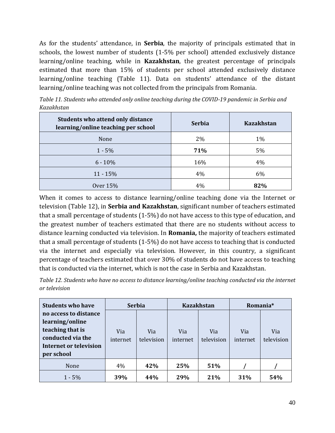As for the students' attendance, in **Serbia**, the majority of principals estimated that in schools, the lowest number of students (1-5% per school) attended exclusively distance learning/online teaching, while in **Kazakhstan**, the greatest percentage of principals estimated that more than 15% of students per school attended exclusively distance learning/online teaching (Table 11). Data on students' attendance of the distant learning/online teaching was not collected from the principals from Romania.

| <b>Students who attend only distance</b><br>learning/online teaching per school | <b>Serbia</b> | <b>Kazakhstan</b> |
|---------------------------------------------------------------------------------|---------------|-------------------|
| None                                                                            | 2%            | 1%                |
| $1 - 5\%$                                                                       | 71%           | 5%                |
| $6 - 10%$                                                                       | 16%           | $4\%$             |
| $11 - 15%$                                                                      | 4%            | 6%                |
| <b>Over 15%</b>                                                                 | 4%            | 82%               |

<span id="page-39-0"></span>*Table 11. Students who attended only online teaching during the COVID-19 pandemic in Serbia and Kazakhstan*

When it comes to access to distance learning/online teaching done via the Internet or television (Table 12), in **Serbia and Kazakhstan**, significant number of teachers estimated that a small percentage of students (1-5%) do not have access to this type of education, and the greatest number of teachers estimated that there are no students without access to distance learning conducted via television. In **Romania,** the majority of teachers estimated that a small percentage of students (1-5%) do not have access to teaching that is conducted via the internet and especially via television. However, in this country, a significant percentage of teachers estimated that over 30% of students do not have access to teaching that is conducted via the internet, which is not the case in Serbia and Kazakhstan.

<span id="page-39-1"></span>*Table 12. Students who have no access to distance learning/online teaching conducted via the internet or television*

| <b>Students who have</b>                                                                                                  | <b>Serbia</b>   |                   | <b>Kazakhstan</b> |                   | Romania*        |                   |
|---------------------------------------------------------------------------------------------------------------------------|-----------------|-------------------|-------------------|-------------------|-----------------|-------------------|
| no access to distance<br>learning/online<br>teaching that is<br>conducted via the<br>Internet or television<br>per school | Via<br>internet | Via<br>television | Via<br>internet   | Via<br>television | Via<br>internet | Via<br>television |
| None                                                                                                                      | 4%              | 42%               | 25%               | 51%               |                 |                   |
| $1 - 5\%$                                                                                                                 | 39%             | 44%               | 29%               | 21%               | 31%             | 54%               |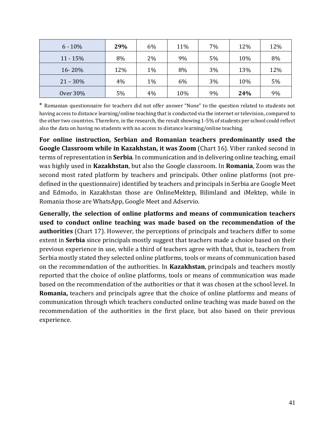| $6 - 10%$   | 29% | 6% | 11% | 7% | 12% | 12% |
|-------------|-----|----|-----|----|-----|-----|
| $11 - 15%$  | 8%  | 2% | 9%  | 5% | 10% | 8%  |
| 16-20%      | 12% | 1% | 8%  | 3% | 13% | 12% |
| $21 - 30\%$ | 4%  | 1% | 6%  | 3% | 10% | 5%  |
| Over 30%    | 5%  | 4% | 10% | 9% | 24% | 9%  |

\* Romanian questionnaire for teachers did not offer answer "None" to the question related to students not having access to distance learning/online teaching that is conducted via the internet or television, compared to the other two countries. Therefore, in the research, the result showing 1-5% of students per school could reflect also the data on having no students with no access to distance learning/online teaching.

**For online instruction, Serbian and Romanian teachers predominantly used the Google Classroom while in Kazakhstan, it was Zoom** (Chart 16). Viber ranked second in terms of representation in **Serbia**. In communication and in delivering online teaching, email was highly used in **Kazakhstan**, but also the Google classroom. In **Romania**, Zoom was the second most rated platform by teachers and principals. Other online platforms (not predefined in the questionnaire) identified by teachers and principals in Serbia are Google Meet and Edmodo, in Kazakhstan those are OnlineMektep, Bilimland and iMektep, while in Romania those are WhatsApp, Google Meet and Adservio.

**Generally, the selection of online platforms and means of communication teachers used to conduct online teaching was made based on the recommendation of the authorities** (Chart 17). However, the perceptions of principals and teachers differ to some extent in **Serbia** since principals mostly suggest that teachers made a choice based on their previous experience in use, while a third of teachers agree with that, that is, teachers from Serbia mostly stated they selected online platforms, tools or means of communication based on the recommendation of the authorities. In **Kazakhstan**, principals and teachers mostly reported that the choice of online platforms, tools or means of communication was made based on the recommendation of the authorities or that it was chosen at the school level. In **Romania,** teachers and principals agree that the choice of online platforms and means of communication through which teachers conducted online teaching was made based on the recommendation of the authorities in the first place, but also based on their previous experience.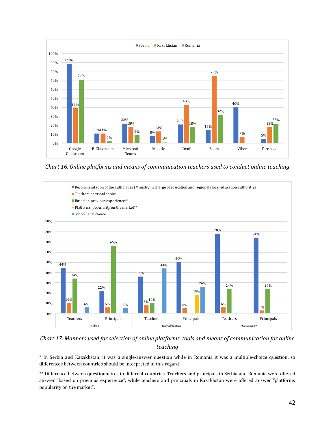

<span id="page-41-0"></span>*Chart 16. Online platforms and means of communication teachers used to conduct online teaching* 



<span id="page-41-1"></span>*Chart 17. Manners used for selection of online platforms, tools and means of communication for online teaching* 

\* In Serbia and Kazakhstan, it was a single-answer question while in Romania it was a multiple-choice question, so differences between countries should be interpreted in this regard.

\*\* Difference between questionnaires in different countries. Teachers and principals in Serbia and Romania were offered answer "based on previous experience", while teachers and principals in Kazakhstan were offered answer "platforms popularity on the market".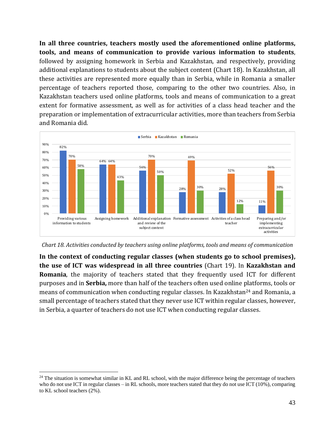**In all three countries, teachers mostly used the aforementioned online platforms, tools, and means of communication to provide various information to students**, followed by assigning homework in Serbia and Kazakhstan, and respectively, providing additional explanations to students about the subject content (Chart 18). In Kazakhstan, all these activities are represented more equally than in Serbia, while in Romania a smaller percentage of teachers reported those, comparing to the other two countries. Also, in Kazakhstan teachers used online platforms, tools and means of communication to a great extent for formative assessment, as well as for activities of a class head teacher and the preparation or implementation of extracurricular activities, more than teachers from Serbia and Romania did.



<span id="page-42-0"></span>*Chart 18. Activities conducted by teachers using online platforms, tools and means of communication*

**In the context of conducting regular classes (when students go to school premises), the use of ICT was widespread in all three countries** (Chart 19). In **Kazakhstan and Romania**, the majority of teachers stated that they frequently used ICT for different purposes and in **Serbia,** more than half of the teachers often used online platforms, tools or means of communication when conducting regular classes. In Kazakhstan<sup>24</sup> and Romania, a small percentage of teachers stated that they never use ICT within regular classes, however, in Serbia, a quarter of teachers do not use ICT when conducting regular classes.

<sup>&</sup>lt;sup>24</sup> The situation is somewhat similar in KL and RL school, with the major difference being the percentage of teachers who do not use ICT in regular classes – in RL schools, more teachers stated that they do not use ICT (10%), comparing to KL school teachers (2%).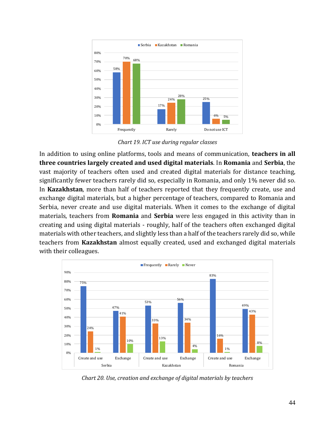

*Chart 19. ICT use during regular classes*

<span id="page-43-0"></span>In addition to using online platforms, tools and means of communication, **teachers in all three countries largely created and used digital materials**. In **Romania** and **Serbia**, the vast majority of teachers often used and created digital materials for distance teaching, significantly fewer teachers rarely did so, especially in Romania, and only 1% never did so. In **Kazakhstan**, more than half of teachers reported that they frequently create, use and exchange digital materials, but a higher percentage of teachers, compared to Romania and Serbia, never create and use digital materials. When it comes to the exchange of digital materials, teachers from **Romania** and **Serbia** were less engaged in this activity than in creating and using digital materials - roughly, half of the teachers often exchanged digital materials with other teachers, and slightly less than a half of the teachers rarely did so, while teachers from **Kazakhstan** almost equally created, used and exchanged digital materials with their colleagues.



<span id="page-43-1"></span>*Chart 20. Use, creation and exchange of digital materials by teachers*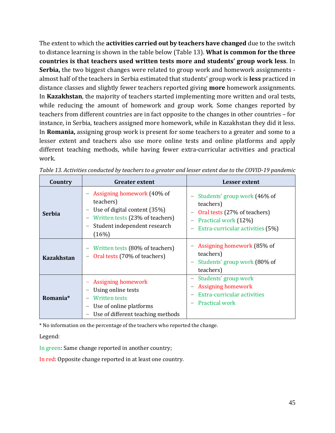The extent to which the **activities carried out by teachers have changed** due to the switch to distance learning is shown in the table below (Table 13). **What is common for the three countries is that teachers used written tests more and students' group work less**. In **Serbia,** the two biggest changes were related to group work and homework assignments almost half of the teachers in Serbia estimated that students' group work is **less** practiced in distance classes and slightly fewer teachers reported giving **more** homework assignments. In **Kazakhstan**, the majority of teachers started implementing more written and oral tests, while reducing the amount of homework and group work. Some changes reported by teachers from different countries are in fact opposite to the changes in other countries – for instance, in Serbia, teachers assigned more homework, while in Kazakhstan they did it less. In **Romania,** assigning group work is present for some teachers to a greater and some to a lesser extent and teachers also use more online tests and online platforms and apply different teaching methods, while having fewer extra-curricular activities and practical work.

| Country           | <b>Greater extent</b>                                                                                                                                 | Lesser extent                                                                                                                                                     |
|-------------------|-------------------------------------------------------------------------------------------------------------------------------------------------------|-------------------------------------------------------------------------------------------------------------------------------------------------------------------|
| <b>Serbia</b>     | - Assigning homework (40% of<br>teachers)<br>Use of digital content (35%)<br>Written tests (23% of teachers)<br>Student independent research<br>(16%) | Students' group work (46% of<br>teachers)<br>Oral tests (27% of teachers)<br>Practical work (12%)<br>Extra-curricular activities (5%)                             |
| <b>Kazakhstan</b> | Written tests (80% of teachers)<br>Oral tests (70% of teachers)                                                                                       | Assigning homework (85% of<br>teachers)<br>Students' group work (80% of<br>teachers)                                                                              |
| Romania*          | <b>Assigning homework</b><br>Using online tests<br><b>Written tests</b><br>Use of online platforms<br>Use of different teaching methods               | Students' group work<br>$\overline{\phantom{m}}$<br><b>Assigning homework</b><br>$\overline{\phantom{m}}$<br>Extra-curricular activities<br><b>Practical work</b> |

<span id="page-44-0"></span>*Table 13. Activities conducted by teachers to a greater and lesser extent due to the COVID-19 pandemic*

\* No information on the percentage of the teachers who reported the change.

Legend:

In green: Same change reported in another country;

In red: Opposite change reported in at least one country.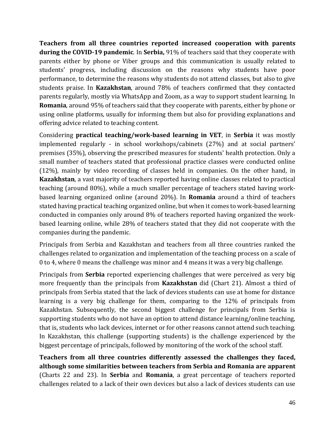**Teachers from all three countries reported increased cooperation with parents during the COVID-19 pandemic**. In **Serbia,** 91% of teachers said that they cooperate with parents either by phone or Viber groups and this communication is usually related to students' progress, including discussion on the reasons why students have poor performance, to determine the reasons why students do not attend classes, but also to give students praise. In **Kazakhstan**, around 78% of teachers confirmed that they contacted parents regularly, mostly via WhatsApp and Zoom, as a way to support student learning. In **Romania**, around 95% of teachers said that they cooperate with parents, either by phone or using online platforms, usually for informing them but also for providing explanations and offering advice related to teaching content.

Considering **practical teaching/work-based learning in VET**, in **Serbia** it was mostly implemented regularly - in school workshops/cabinets (27%) and at social partners' premises (35%), observing the prescribed measures for students' health protection. Only a small number of teachers stated that professional practice classes were conducted online (12%), mainly by video recording of classes held in companies. On the other hand, in **Kazakhstan**, a vast majority of teachers reported having online classes related to practical teaching (around 80%), while a much smaller percentage of teachers stated having workbased learning organized online (around 20%). In **Romania** around a third of teachers stated having practical teaching organized online, but when it comes to work-based learning conducted in companies only around 8% of teachers reported having organized the workbased learning online, while 28% of teachers stated that they did not cooperate with the companies during the pandemic.

Principals from Serbia and Kazakhstan and teachers from all three countries ranked the challenges related to organization and implementation of the teaching process on a scale of 0 to 4, where 0 means the challenge was minor and 4 means it was a very big challenge.

Principals from **Serbia** reported experiencing challenges that were perceived as very big more frequently than the principals from **Kazakhstan** did (Chart 21). Almost a third of principals from Serbia stated that the lack of devices students can use at home for distance learning is a very big challenge for them, comparing to the 12% of principals from Kazakhstan. Subsequently, the second biggest challenge for principals from Serbia is supporting students who do not have an option to attend distance learning/online teaching, that is, students who lack devices, internet or for other reasons cannot attend such teaching. In Kazakhstan, this challenge (supporting students) is the challenge experienced by the biggest percentage of principals, followed by monitoring of the work of the school staff.

**Teachers from all three countries differently assessed the challenges they faced, although some similarities between teachers from Serbia and Romania are apparent** (Charts 22 and 23). In **Serbia** and **Romania**, a great percentage of teachers reported challenges related to a lack of their own devices but also a lack of devices students can use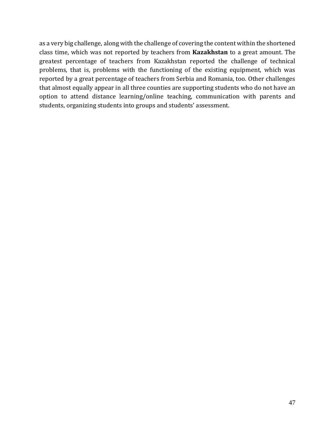as a very big challenge, along with the challenge of covering the content within the shortened class time, which was not reported by teachers from **Kazakhstan** to a great amount. The greatest percentage of teachers from Kazakhstan reported the challenge of technical problems, that is, problems with the functioning of the existing equipment, which was reported by a great percentage of teachers from Serbia and Romania, too. Other challenges that almost equally appear in all three counties are supporting students who do not have an option to attend distance learning/online teaching, communication with parents and students, organizing students into groups and students' assessment.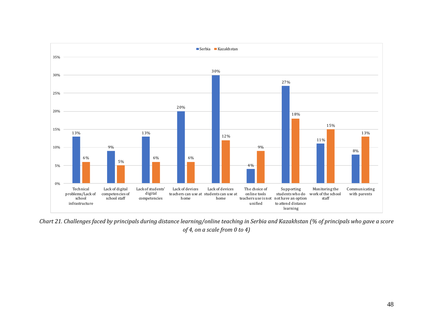

<span id="page-47-0"></span>*Chart 21. Challenges faced by principals during distance learning/online teaching in Serbia and Kazakhstan (% of principals who gave a score of 4, on a scale from 0 to 4)*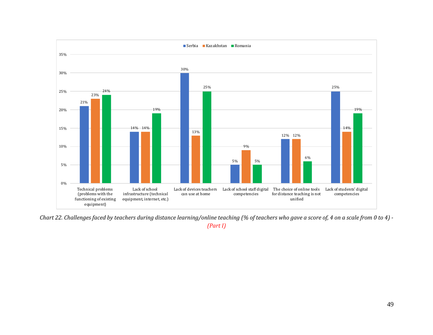

<span id="page-48-0"></span>*Chart 22. Challenges faced by teachers during distance learning/online teaching (% of teachers who gave a score of, 4 on a scale from 0 to 4) - (Part I)*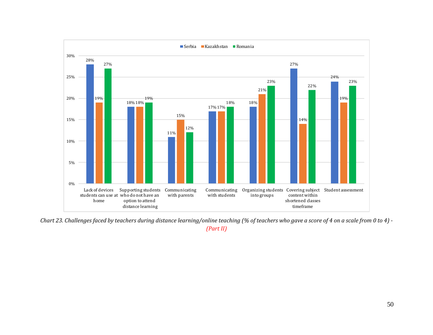

<span id="page-49-0"></span>*Chart 23. Challenges faced by teachers during distance learning/online teaching (% of teachers who gave a score of 4 on a scale from 0 to 4) - (Part II)*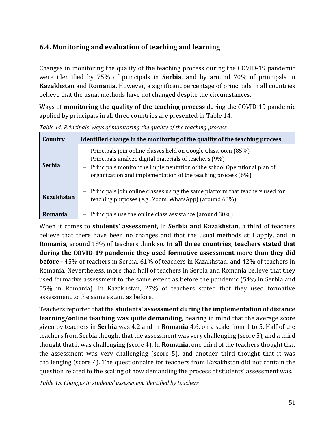## <span id="page-50-0"></span>**6.4. Monitoring and evaluation of teaching and learning**

Changes in monitoring the quality of the teaching process during the COVID-19 pandemic were identified by 75% of principals in **Serbia**, and by around 70% of principals in **Kazakhstan** and **Romania.** However, a significant percentage of principals in all countries believe that the usual methods have not changed despite the circumstances.

Ways of **monitoring the quality of the teaching process** during the COVID-19 pandemic applied by principals in all three countries are presented in Table 14.

| Country       | Identified change in the monitoring of the quality of the teaching process                                                                                                                                                                                                                    |  |  |  |
|---------------|-----------------------------------------------------------------------------------------------------------------------------------------------------------------------------------------------------------------------------------------------------------------------------------------------|--|--|--|
| <b>Serbia</b> | Principals join online classes held on Google Classroom (85%)<br>Principals analyze digital materials of teachers (9%)<br>$\overline{\phantom{m}}$<br>Principals monitor the implementation of the school Operational plan of<br>organization and implementation of the teaching process (6%) |  |  |  |
| Kazakhstan    | Principals join online classes using the same platform that teachers used for<br>$\overline{\phantom{m}}$<br>teaching purposes (e.g., Zoom, WhatsApp) (around 68%)                                                                                                                            |  |  |  |
| Romania       | Principals use the online class assistance (around 30%)                                                                                                                                                                                                                                       |  |  |  |

<span id="page-50-1"></span>*Table 14. Principals' ways of monitoring the quality of the teaching process*

When it comes to **students' assessment**, in **Serbia and Kazakhstan**, a third of teachers believe that there have been no changes and that the usual methods still apply, and in **Romania**, around 18% of teachers think so. **In all three countries, teachers stated that during the COVID-19 pandemic they used formative assessment more than they did before -** 45% of teachers in Serbia, 61% of teachers in Kazakhstan, and 42% of teachers in Romania. Nevertheless, more than half of teachers in Serbia and Romania believe that they used formative assessment to the same extent as before the pandemic (54% in Serbia and 55% in Romania). In Kazakhstan, 27% of teachers stated that they used formative assessment to the same extent as before.

Teachers reported that the **students' assessment during the implementation of distance learning/online teaching was quite demanding**, bearing in mind that the average score given by teachers in **Serbia** was 4.2 and in **Romania** 4.6, on a scale from 1 to 5. Half of the teachers from Serbia thought that the assessment was very challenging (score 5), and a third thought that it was challenging (score 4). In **Romania,** one third of the teachers thought that the assessment was very challenging (score 5), and another third thought that it was challenging (score 4). The questionnaire for teachers from Kazakhstan did not contain the question related to the scaling of how demanding the process of students' assessment was.

<span id="page-50-2"></span>*Table 15. Changes in students' assessment identified by teachers*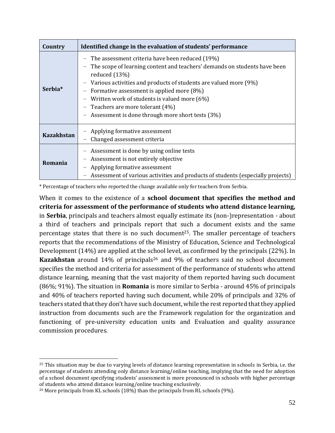| Country             | Identified change in the evaluation of students' performance                                                                                                                                                                                                                                                                                                                                                |
|---------------------|-------------------------------------------------------------------------------------------------------------------------------------------------------------------------------------------------------------------------------------------------------------------------------------------------------------------------------------------------------------------------------------------------------------|
| Serbia <sup>*</sup> | The assessment criteria have been reduced (19%)<br>The scope of learning content and teachers' demands on students have been<br>reduced $(13%)$<br>- Various activities and products of students are valued more (9%)<br>Formative assessment is applied more (8%)<br>Written work of students is valued more (6%)<br>Teachers are more tolerant (4%)<br>- Assessment is done through more short tests (3%) |
| <b>Kazakhstan</b>   | Applying formative assessment<br>Changed assessment criteria                                                                                                                                                                                                                                                                                                                                                |
| Romania             | Assessment is done by using online tests<br>Assessment is not entirely objective<br>Applying formative assessment<br>Assessment of various activities and products of students (especially projects)                                                                                                                                                                                                        |

\* Percentage of teachers who reported the change available only for teachers from Serbia.

When it comes to the existence of a **school document that specifies the method and criteria for assessment of the performance of students who attend distance learning,** in **Serbia**, principals and teachers almost equally estimate its (non-)representation - about a third of teachers and principals report that such a document exists and the same percentage states that there is no such document<sup>25</sup>. The smaller percentage of teachers reports that the recommendations of the Ministry of Education, Science and Technological Development (14%) are applied at the school level, as confirmed by the principals (22%). In Kazakhstan around 14% of principals<sup>26</sup> and 9% of teachers said no school document specifies the method and criteria for assessment of the performance of students who attend distance learning, meaning that the vast majority of them reported having such document (86%; 91%). The situation in **Romania** is more similar to Serbia - around 45% of principals and 40% of teachers reported having such document, while 20% of principals and 32% of teachers stated that they don't have such document, while the rest reported that they applied instruction from documents such are the Framework regulation for the organization and functioning of pre-university education units and Evaluation and quality assurance commission procedures.

<sup>&</sup>lt;sup>25</sup> This situation may be due to varying levels of distance learning representation in schools in Serbia, i.e. the percentage of students attending only distance learning/online teaching, implying that the need for adoption of a school document specifying students' assessment is more pronounced in schools with higher percentage of students who attend distance learning/online teaching exclusively.

<sup>&</sup>lt;sup>26</sup> More principals from KL schools (18%) than the principals from RL schools (9%).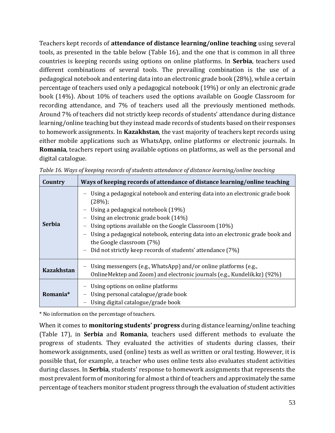Teachers kept records of **attendance of distance learning/online teaching** using several tools, as presented in the table below (Table 16), and the one that is common in all three countries is keeping records using options on online platforms. In **Serbia**, teachers used different combinations of several tools. The prevailing combination is the use of a pedagogical notebook and entering data into an electronic grade book (28%), while a certain percentage of teachers used only a pedagogical notebook (19%) or only an electronic grade book (14%). About 10% of teachers used the options available on Google Classroom for recording attendance, and 7% of teachers used all the previously mentioned methods. Around 7% of teachers did not strictly keep records of students' attendance during distance learning/online teaching but they instead made records of students based on their responses to homework assignments. In **Kazakhstan**, the vast majority of teachers kept records using either mobile applications such as WhatsApp, online platforms or electronic journals. In **Romania**, teachers report using available options on platforms, as well as the personal and digital catalogue.

| Country              | Ways of keeping records of attendance of distance learning/online teaching                                                                                                                                                                                                                                                                                                                               |
|----------------------|----------------------------------------------------------------------------------------------------------------------------------------------------------------------------------------------------------------------------------------------------------------------------------------------------------------------------------------------------------------------------------------------------------|
| <b>Serbia</b>        | Using a pedagogical notebook and entering data into an electronic grade book<br>(28%)<br>Using a pedagogical notebook (19%)<br>Using an electronic grade book (14%)<br>Using options available on the Google Classroom (10%)<br>Using a pedagogical notebook, entering data into an electronic grade book and<br>the Google classroom (7%)<br>Did not strictly keep records of students' attendance (7%) |
| <b>Kazakhstan</b>    | Using messengers (e.g., WhatsApp) and/or online platforms (e.g.,<br>OnlineMektep and Zoom) and electronic journals (e.g., Kundelik.kz) (92%)                                                                                                                                                                                                                                                             |
| Romania <sup>*</sup> | Using options on online platforms<br>Using personal catalogue/grade book<br>Using digital catalogue/grade book                                                                                                                                                                                                                                                                                           |

<span id="page-52-0"></span>

|  | Table 16. Ways of keeping records of students attendance of distance learning/online teaching |  |  |
|--|-----------------------------------------------------------------------------------------------|--|--|
|  |                                                                                               |  |  |
|  |                                                                                               |  |  |

\* No information on the percentage of teachers.

When it comes to **monitoring students' progress** during distance learning/online teaching (Table 17), in **Serbia** and **Romania**, teachers used different methods to evaluate the progress of students. They evaluated the activities of students during classes, their homework assignments, used (online) tests as well as written or oral testing. However, it is possible that, for example, a teacher who uses online tests also evaluates student activities during classes. In **Serbia**, students' response to homework assignments that represents the most prevalent form of monitoring for almost a third of teachers and approximately the same percentage of teachers monitor student progress through the evaluation of student activities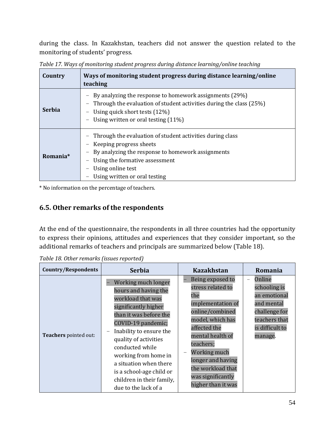during the class. In Kazakhstan, teachers did not answer the question related to the monitoring of students' progress.

| Country       | Ways of monitoring student progress during distance learning/online<br>teaching                                                                                                                                                   |
|---------------|-----------------------------------------------------------------------------------------------------------------------------------------------------------------------------------------------------------------------------------|
| <b>Serbia</b> | By analyzing the response to homework assignments (29%)<br>Through the evaluation of student activities during the class (25%)<br>Using quick short tests (12%)<br>Using written or oral testing (11%)                            |
| Romania*      | Through the evaluation of student activities during class<br>Keeping progress sheets<br>By analyzing the response to homework assignments<br>Using the formative assessment<br>Using online test<br>Using written or oral testing |

<span id="page-53-1"></span>*Table 17. Ways of monitoring student progress during distance learning/online teaching*

\* No information on the percentage of teachers.

#### <span id="page-53-0"></span>**6.5. Other remarks of the respondents**

At the end of the questionnaire, the respondents in all three countries had the opportunity to express their opinions, attitudes and experiences that they consider important, so the additional remarks of teachers and principals are summarized below (Table 18).

| <b>Country/Respondents</b> | <b>Serbia</b>                                                                                                                                                                                                                                                                                                                                      | <b>Kazakhstan</b>                                                                                                                                                                                                                                                                          | Romania                                                                                                                                          |
|----------------------------|----------------------------------------------------------------------------------------------------------------------------------------------------------------------------------------------------------------------------------------------------------------------------------------------------------------------------------------------------|--------------------------------------------------------------------------------------------------------------------------------------------------------------------------------------------------------------------------------------------------------------------------------------------|--------------------------------------------------------------------------------------------------------------------------------------------------|
| Teachers pointed out:      | Working much longer<br>hours and having the<br>workload that was<br>significantly higher<br>than it was before the<br>COVID-19 pandemic;<br>Inability to ensure the<br>quality of activities<br>conducted while<br>working from home in<br>a situation when there<br>is a school-age child or<br>children in their family,<br>due to the lack of a | Being exposed to<br>stress related to<br>the<br>implementation of<br>online/combined<br>model, which has<br>affected the<br>mental health of<br>teachers;<br>Working much<br>$\overline{\phantom{m}}$<br>longer and having<br>the workload that<br>was significantly<br>higher than it was | Online<br>$\overline{\phantom{0}}$<br>schooling is<br>an emotional<br>and mental<br>challenge for<br>teachers that<br>is difficult to<br>manage. |

<span id="page-53-2"></span>*Table 18. Other remarks (issues reported)*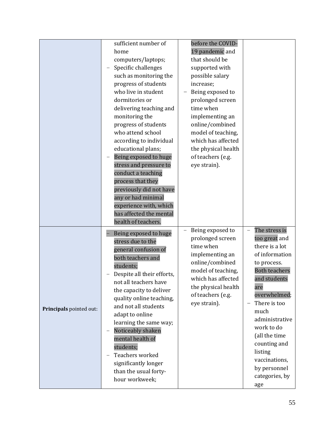|                         | sufficient number of                    | before the COVID-                     |                                     |
|-------------------------|-----------------------------------------|---------------------------------------|-------------------------------------|
|                         | home                                    | 19 pandemic and                       |                                     |
|                         | computers/laptops;                      | that should be                        |                                     |
|                         | Specific challenges                     | supported with                        |                                     |
|                         | such as monitoring the                  | possible salary                       |                                     |
|                         | progress of students                    | increase;                             |                                     |
|                         | who live in student                     | Being exposed to                      |                                     |
|                         | dormitories or                          | prolonged screen                      |                                     |
|                         | delivering teaching and                 | time when                             |                                     |
|                         | monitoring the                          | implementing an                       |                                     |
|                         | progress of students                    | online/combined                       |                                     |
|                         | who attend school                       | model of teaching,                    |                                     |
|                         | according to individual                 | which has affected                    |                                     |
|                         | educational plans;                      | the physical health                   |                                     |
|                         | Being exposed to huge                   | of teachers (e.g.                     |                                     |
|                         | stress and pressure to                  | eye strain).                          |                                     |
|                         | conduct a teaching                      |                                       |                                     |
|                         | process that they                       |                                       |                                     |
|                         | previously did not have                 |                                       |                                     |
|                         | any or had minimal                      |                                       |                                     |
|                         | experience with, which                  |                                       |                                     |
|                         | has affected the mental                 |                                       |                                     |
|                         | health of teachers.                     |                                       |                                     |
|                         | Being exposed to huge                   | Being exposed to                      | The stress is                       |
|                         | stress due to the                       | prolonged screen                      | too great and                       |
|                         | general confusion of                    | time when                             | there is a lot                      |
|                         | both teachers and                       | implementing an                       | of information                      |
|                         | students;                               | online/combined<br>model of teaching, | to process.<br><b>Both teachers</b> |
|                         | Despite all their efforts,              | which has affected                    | and students                        |
|                         | not all teachers have                   | the physical health                   | are                                 |
|                         | the capacity to deliver                 | of teachers (e.g.                     | overwhelmed;                        |
|                         | quality online teaching,                | eye strain).                          | There is too                        |
| Principals pointed out: | and not all students                    |                                       | much                                |
|                         | adapt to online                         |                                       | administrative                      |
|                         | learning the same way;                  |                                       | work to do                          |
|                         | Noticeably shaken<br>mental health of   |                                       | (all the time                       |
|                         |                                         |                                       | counting and                        |
|                         |                                         |                                       |                                     |
|                         | students;                               |                                       | listing                             |
|                         | Teachers worked                         |                                       | vaccinations,                       |
|                         | significantly longer                    |                                       | by personnel                        |
|                         | than the usual forty-<br>hour workweek; |                                       | categories, by                      |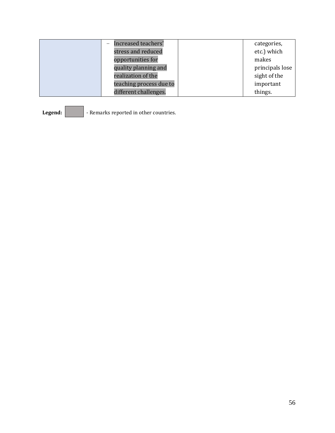| Increased teachers'     | categories,     |
|-------------------------|-----------------|
| stress and reduced      | etc.) which     |
| opportunities for       | makes           |
| quality planning and    | principals lose |
| realization of the      | sight of the    |
| teaching process due to | important       |
| different challenges.   | things.         |

Legend: **Constants** - Remarks reported in other countries.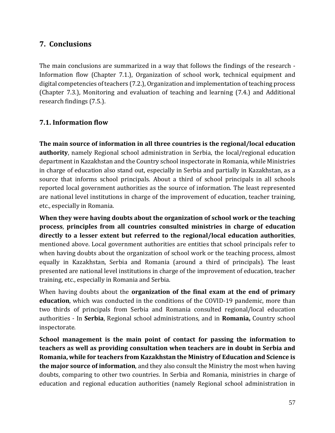## <span id="page-56-0"></span>**7. Conclusions**

The main conclusions are summarized in a way that follows the findings of the research - Information flow (Chapter 7.1.), Organization of school work, technical equipment and digital competencies of teachers (7.2.), Organization and implementation of teaching process (Chapter 7.3.), Monitoring and evaluation of teaching and learning (7.4.) and Additional research findings (7.5.).

#### <span id="page-56-1"></span>**7.1. Information flow**

**The main source of information in all three countries is the regional/local education authority**, namely Regional school administration in Serbia, the local/regional education department in Kazakhstan and the Country school inspectorate in Romania, while Ministries in charge of education also stand out, especially in Serbia and partially in Kazakhstan, as a source that informs school principals. About a third of school principals in all schools reported local government authorities as the source of information. The least represented are national level institutions in charge of the improvement of education, teacher training, etc., especially in Romania.

**When they were having doubts about the organization of school work or the teaching process**, **principles from all countries consulted ministries in charge of education directly to a lesser extent but referred to the regional/local education authorities**, mentioned above. Local government authorities are entities that school principals refer to when having doubts about the organization of school work or the teaching process, almost equally in Kazakhstan, Serbia and Romania (around a third of principals). The least presented are national level institutions in charge of the improvement of education, teacher training, etc., especially in Romania and Serbia.

When having doubts about the **organization of the final exam at the end of primary education**, which was conducted in the conditions of the COVID-19 pandemic, more than two thirds of principals from Serbia and Romania consulted regional/local education authorities - In **Serbia**, Regional school administrations, and in **Romania,** Country school inspectorate.

**School management is the main point of contact for passing the information to teachers as well as providing consultation when teachers are in doubt in Serbia and Romania, while for teachers from Kazakhstan the Ministry of Education and Science is the major source of information**, and they also consult the Ministry the most when having doubts, comparing to other two countries. In Serbia and Romania, ministries in charge of education and regional education authorities (namely Regional school administration in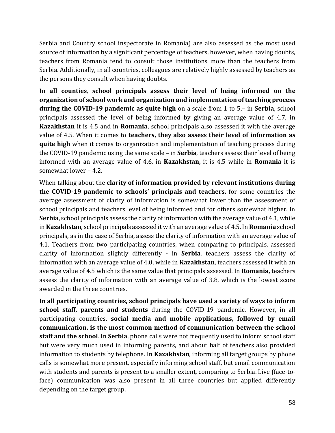Serbia and Country school inspectorate in Romania) are also assessed as the most used source of information by a significant percentage of teachers, however, when having doubts, teachers from Romania tend to consult those institutions more than the teachers from Serbia. Additionally, in all countries, colleagues are relatively highly assessed by teachers as the persons they consult when having doubts.

**In all counties**, **school principals assess their level of being informed on the organization of school work and organization and implementation of teaching process during the COVID-19 pandemic as quite high** on a scale from 1 to 5,– in **Serbia**, school principals assessed the level of being informed by giving an average value of 4.7, in **Kazakhstan** it is 4.5 and in **Romania**, school principals also assessed it with the average value of 4.5. When it comes to **teachers, they also assess their level of information as quite high** when it comes to organization and implementation of teaching process during the COVID-19 pandemic using the same scale – in **Serbia**, teachers assess their level of being informed with an average value of 4.6, in **Kazakhstan,** it is 4.5 while in **Romania** it is somewhat lower – 4.2.

When talking about the **clarity of information provided by relevant institutions during the COVID-19 pandemic to schools' principals and teachers,** for some countries the average assessment of clarity of information is somewhat lower than the assessment of school principals and teachers level of being informed and for others somewhat higher. In **Serbia**, school principals assess the clarity of information with the average value of 4.1, while in **Kazakhstan**, school principals assessed it with an average value of 4.5. In **Romania** school principals, as in the case of Serbia, assess the clarity of information with an average value of 4.1. Teachers from two participating countries, when comparing to principals, assessed clarity of information slightly differently - in **Serbia**, teachers assess the clarity of information with an average value of 4.0, while in **Kazakhstan**, teachers assessed it with an average value of 4.5 which is the same value that principals assessed. In **Romania,** teachers assess the clarity of information with an average value of 3.8, which is the lowest score awarded in the three countries.

**In all participating countries, school principals have used a variety of ways to inform school staff, parents and students** during the COVID-19 pandemic. However, in all participating countries, **social media and mobile applications, followed by email communication, is the most common method of communication between the school staff and the school**. In **Serbia**, phone calls were not frequently used to inform school staff but were very much used in informing parents, and about half of teachers also provided information to students by telephone. In **Kazakhstan**, informing all target groups by phone calls is somewhat more present, especially informing school staff, but email communication with students and parents is present to a smaller extent, comparing to Serbia. Live (face-toface) communication was also present in all three countries but applied differently depending on the target group.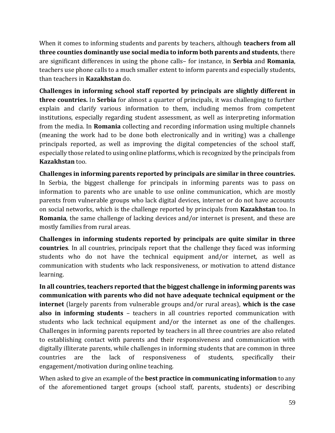When it comes to informing students and parents by teachers, although **teachers from all three counties dominantly use social media to inform both parents and students**, there are significant differences in using the phone calls– for instance, in **Serbia** and **Romania**, teachers use phone calls to a much smaller extent to inform parents and especially students, than teachers in **Kazakhstan** do.

**Challenges in informing school staff reported by principals are slightly different in three countries.** In **Serbia** for almost a quarter of principals, it was challenging to further explain and clarify various information to them, including memos from competent institutions, especially regarding student assessment, as well as interpreting information from the media. In **Romania** collecting and recording information using multiple channels (meaning the work had to be done both electronically and in writing) was a challenge principals reported, as well as improving the digital competencies of the school staff, especially those related to using online platforms, which is recognized by the principals from **Kazakhstan** too.

**Challenges in informing parents reported by principals are similar in three countries.** In Serbia, the biggest challenge for principals in informing parents was to pass on information to parents who are unable to use online communication, which are mostly parents from vulnerable groups who lack digital devices, internet or do not have accounts on social networks, which is the challenge reported by principals from **Kazakhstan** too. In **Romania**, the same challenge of lacking devices and/or internet is present, and these are mostly families from rural areas.

**Challenges in informing students reported by principals are quite similar in three countries**. In all countries, principals report that the challenge they faced was informing students who do not have the technical equipment and/or internet, as well as communication with students who lack responsiveness, or motivation to attend distance learning.

**In all countries, teachers reported that the biggest challenge in informing parents was communication with parents who did not have adequate technical equipment or the internet** (largely parents from vulnerable groups and/or rural areas), **which is the case also in informing students** – teachers in all countries reported communication with students who lack technical equipment and/or the internet as one of the challenges. Challenges in informing parents reported by teachers in all three countries are also related to establishing contact with parents and their responsiveness and communication with digitally illiterate parents, while challenges in informing students that are common in three countries are the lack of responsiveness of students, specifically their engagement/motivation during online teaching.

When asked to give an example of the **best practice in communicating information** to any of the aforementioned target groups (school staff, parents, students) or describing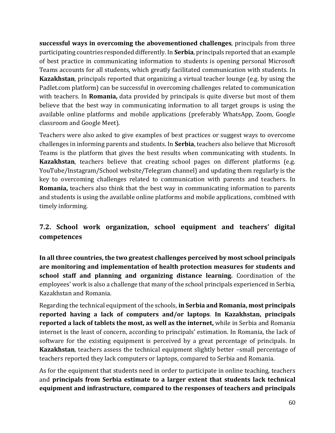**successful ways in overcoming the abovementioned challenges**, principals from three participating countries responded differently. In **Serbia**, principals reported that an example of best practice in communicating information to students is opening personal Microsoft Teams accounts for all students, which greatly facilitated communication with students. In **Kazakhstan**, principals reported that organizing a virtual teacher lounge (e.g. by using the Padlet.com platform) can be successful in overcoming challenges related to communication with teachers. In **Romania,** data provided by principals is quite diverse but most of them believe that the best way in communicating information to all target groups is using the available online platforms and mobile applications (preferably WhatsApp, Zoom, Google classroom and Google Meet).

Teachers were also asked to give examples of best practices or suggest ways to overcome challenges in informing parents and students. In **Serbia**, teachers also believe that Microsoft Teams is the platform that gives the best results when communicating with students. In **Kazakhstan**, teachers believe that creating school pages on different platforms (e.g. YouTube/Instagram/School website/Telegram channel) and updating them regularly is the key to overcoming challenges related to communication with parents and teachers. In **Romania,** teachers also think that the best way in communicating information to parents and students is using the available online platforms and mobile applications, combined with timely informing.

## <span id="page-59-0"></span>**7.2. School work organization, school equipment and teachers' digital competences**

**In all three countries, the two greatest challenges perceived by most school principals are monitoring and implementation of health protection measures for students and school staff and planning and organizing distance learning.** Coordination of the employees' work is also a challenge that many of the school principals experienced in Serbia, Kazakhstan and Romania.

Regarding the technical equipment of the schools, **in Serbia and Romania, most principals reported having a lack of computers and/or laptops**. **In Kazakhstan, principals reported a lack of tablets the most, as well as the internet,** while in Serbia and Romania internet is the least of concern, according to principals' estimation. In Romania, the lack of software for the existing equipment is perceived by a great percentage of principals. In **Kazakhstan**, teachers assess the technical equipment slightly better –small percentage of teachers reported they lack computers or laptops, compared to Serbia and Romania.

As for the equipment that students need in order to participate in online teaching, teachers and **principals from Serbia estimate to a larger extent that students lack technical equipment and infrastructure, compared to the responses of teachers and principals**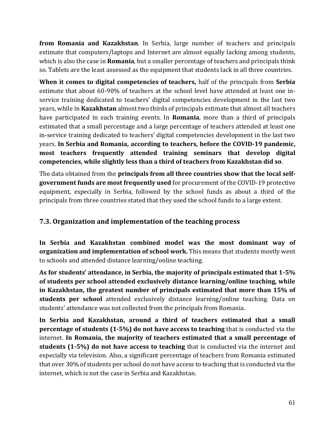**from Romania and Kazakhstan**. In Serbia, large number of teachers and principals estimate that computers/laptops and Internet are almost equally lacking among students, which is also the case in **Romania**, but a smaller percentage of teachers and principals think so. Tablets are the least assessed as the equipment that students lack in all three countries.

**When it comes to digital competencies of teachers,** half of the principals from **Serbia** estimate that about 60-90% of teachers at the school level have attended at least one inservice training dedicated to teachers' digital competencies development in the last two years, while in **Kazakhstan** almost two thirds of principals estimate that almost all teachers have participated in such training events. In **Romania**, more than a third of principals estimated that a small percentage and a large percentage of teachers attended at least one in-service training dedicated to teachers' digital competencies development in the last two years. **In Serbia and Romania, according to teachers, before the COVID-19 pandemic, most teachers frequently attended training seminars that develop digital competencies, while slightly less than a third of teachers from Kazakhstan did so**.

The data obtained from the **principals from all three countries show that the local selfgovernment funds are most frequently used** for procurement of the COVID-19 protective equipment, especially in Serbia, followed by the school funds as about a third of the principals from three countries stated that they used the school funds to a large extent.

#### <span id="page-60-0"></span>**7.3. Organization and implementation of the teaching process**

**In Serbia and Kazakhstan combined model was the most dominant way of organization and implementation of school work.** This means that students mostly went to schools and attended distance learning/online teaching.

**As for students' attendance, in Serbia, the majority of principals estimated that 1-5% of students per school attended exclusively distance learning/online teaching, while in Kazakhstan, the greatest number of principals estimated that more than 15% of students per school** attended exclusively distance learning/online teaching. Data on students' attendance was not collected from the principals from Romania.

**In Serbia and Kazakhstan, around a third of teachers estimated that a small percentage of students (1-5%) do not have access to teaching** that is conducted via the internet. **In Romania, the majority of teachers estimated that a small percentage of students (1-5%) do not have access to teaching** that is conducted via the internet and especially via television. Also, a significant percentage of teachers from Romania estimated that over 30% of students per school do not have access to teaching that is conducted via the internet, which is not the case in Serbia and Kazakhstan.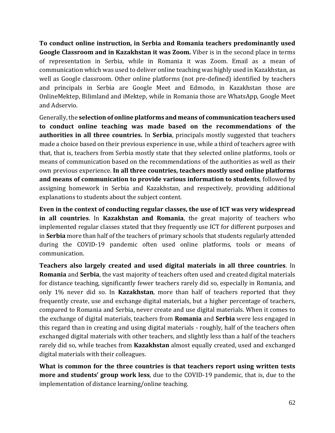**To conduct online instruction, in Serbia and Romania teachers predominantly used Google Classroom and in Kazakhstan it was Zoom.** Viber is in the second place in terms of representation in Serbia, while in Romania it was Zoom. Email as a mean of communication which was used to deliver online teaching was highly used in Kazakhstan, as well as Google classroom. Other online platforms (not pre-defined) identified by teachers and principals in Serbia are Google Meet and Edmodo, in Kazakhstan those are OnlineMektep, Bilimland and iMektep, while in Romania those are WhatsApp, Google Meet and Adservio.

Generally, the **selection of online platforms and means of communication teachers used to conduct online teaching was made based on the recommendations of the authorities in all three countries.** In **Serbia**, principals mostly suggested that teachers made a choice based on their previous experience in use, while a third of teachers agree with that, that is, teachers from Serbia mostly state that they selected online platforms, tools or means of communication based on the recommendations of the authorities as well as their own previous experience. **In all three countries, teachers mostly used online platforms and means of communication to provide various information to students**, followed by assigning homework in Serbia and Kazakhstan, and respectively, providing additional explanations to students about the subject content.

**Even in the context of conducting regular classes, the use of ICT was very widespread in all countries**. In **Kazakhstan and Romania**, the great majority of teachers who implemented regular classes stated that they frequently use ICT for different purposes and in **Serbia** more than half of the teachers of primary schools that students regularly attended during the COVID-19 pandemic often used online platforms, tools or means of communication.

**Teachers also largely created and used digital materials in all three countries**. In **Romania** and **Serbia**, the vast majority of teachers often used and created digital materials for distance teaching, significantly fewer teachers rarely did so, especially in Romania, and only 1% never did so. In **Kazakhstan**, more than half of teachers reported that they frequently create, use and exchange digital materials, but a higher percentage of teachers, compared to Romania and Serbia, never create and use digital materials. When it comes to the exchange of digital materials, teachers from **Romania** and **Serbia** were less engaged in this regard than in creating and using digital materials - roughly, half of the teachers often exchanged digital materials with other teachers, and slightly less than a half of the teachers rarely did so, while teaches from **Kazakhstan** almost equally created, used and exchanged digital materials with their colleagues.

**What is common for the three countries is that teachers report using written tests more and students' group work less**, due to the COVID-19 pandemic, that is, due to the implementation of distance learning/online teaching.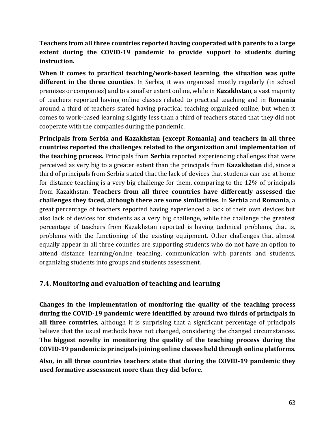**Teachers from all three countries reported having cooperated with parents to a large extent during the COVID-19 pandemic to provide support to students during instruction.** 

**When it comes to practical teaching/work-based learning, the situation was quite different in the three counties**. In Serbia, it was organized mostly regularly (in school premises or companies) and to a smaller extent online, while in **Kazakhstan**, a vast majority of teachers reported having online classes related to practical teaching and in **Romania**  around a third of teachers stated having practical teaching organized online, but when it comes to work-based learning slightly less than a third of teachers stated that they did not cooperate with the companies during the pandemic.

**Principals from Serbia and Kazakhstan (except Romania) and teachers in all three countries reported the challenges related to the organization and implementation of the teaching process.** Principals from **Serbia** reported experiencing challenges that were perceived as very big to a greater extent than the principals from **Kazakhstan** did, since a third of principals from Serbia stated that the lack of devices that students can use at home for distance teaching is a very big challenge for them, comparing to the 12% of principals from Kazakhstan. **Teachers from all three countries have differently assessed the challenges they faced, although there are some similarities**. In **Serbia** and **Romania**, a great percentage of teachers reported having experienced a lack of their own devices but also lack of devices for students as a very big challenge, while the challenge the greatest percentage of teachers from Kazakhstan reported is having technical problems, that is, problems with the functioning of the existing equipment. Other challenges that almost equally appear in all three counties are supporting students who do not have an option to attend distance learning/online teaching, communication with parents and students, organizing students into groups and students assessment.

#### <span id="page-62-0"></span>**7.4. Monitoring and evaluation of teaching and learning**

**Changes in the implementation of monitoring the quality of the teaching process during the COVID-19 pandemic were identified by around two thirds of principals in all three countries,** although it is surprising that a significant percentage of principals believe that the usual methods have not changed, considering the changed circumstances. **The biggest novelty in monitoring the quality of the teaching process during the COVID-19 pandemic is principals joining online classes held through online platforms**.

**Also, in all three countries teachers state that during the COVID-19 pandemic they used formative assessment more than they did before.**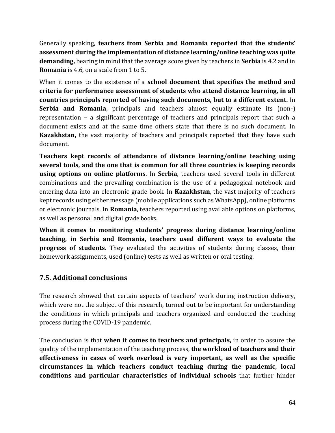Generally speaking, **teachers from Serbia and Romania reported that the students' assessment during the implementation of distance learning/online teaching was quite demanding,** bearing in mind that the average score given by teachers in **Serbia** is 4.2 and in **Romania** is 4.6, on a scale from 1 to 5.

When it comes to the existence of a **school document that specifies the method and criteria for performance assessment of students who attend distance learning, in all countries principals reported of having such documents, but to a different extent.** In **Serbia and Romania**, principals and teachers almost equally estimate its (non-) representation – a significant percentage of teachers and principals report that such a document exists and at the same time others state that there is no such document. In **Kazakhstan,** the vast majority of teachers and principals reported that they have such document.

**Teachers kept records of attendance of distance learning/online teaching using several tools, and the one that is common for all three countries is keeping records using options on online platforms**. In **Serbia**, teachers used several tools in different combinations and the prevailing combination is the use of a pedagogical notebook and entering data into an electronic grade book. In **Kazakhstan**, the vast majority of teachers kept records using either message (mobile applications such as WhatsApp), online platforms or electronic journals. In **Romania**, teachers reported using available options on platforms, as well as personal and digital grade books.

**When it comes to monitoring students' progress during distance learning/online teaching, in Serbia and Romania, teachers used different ways to evaluate the progress of students**. They evaluated the activities of students during classes, their homework assignments, used (online) tests as well as written or oral testing.

## <span id="page-63-0"></span>**7.5. Additional conclusions**

The research showed that certain aspects of teachers' work during instruction delivery, which were not the subject of this research, turned out to be important for understanding the conditions in which principals and teachers organized and conducted the teaching process during the COVID-19 pandemic.

The conclusion is that **when it comes to teachers and principals,** in order to assure the quality of the implementation of the teaching process, **the workload of teachers and their effectiveness in cases of work overload is very important, as well as the specific circumstances in which teachers conduct teaching during the pandemic, local conditions and particular characteristics of individual schools** that further hinder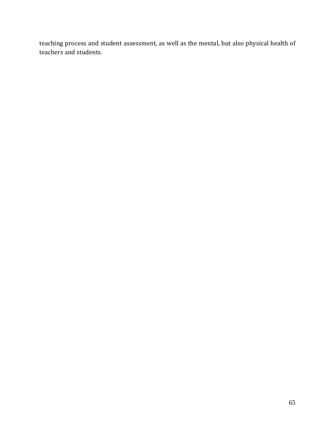teaching process and student assessment, as well as the mental, but also physical health of teachers and students.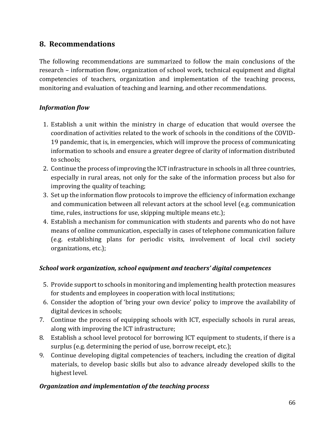## <span id="page-65-0"></span>**8. Recommendations**

The following recommendations are summarized to follow the main conclusions of the research – information flow, organization of school work, technical equipment and digital competencies of teachers, organization and implementation of the teaching process, monitoring and evaluation of teaching and learning, and other recommendations.

#### *Information flow*

- 1. Establish a unit within the ministry in charge of education that would oversee the coordination of activities related to the work of schools in the conditions of the COVID-19 pandemic, that is, in emergencies, which will improve the process of communicating information to schools and ensure a greater degree of clarity of information distributed to schools;
- 2. Continue the process of improving the ICT infrastructure in schools in all three countries, especially in rural areas, not only for the sake of the information process but also for improving the quality of teaching;
- 3. Set up the information flow protocols to improve the efficiency of information exchange and communication between all relevant actors at the school level (e.g. communication time, rules, instructions for use, skipping multiple means etc.);
- 4. Establish a mechanism for communication with students and parents who do not have means of online communication, especially in cases of telephone communication failure (e.g. establishing plans for periodic visits, involvement of local civil society organizations, etc.);

#### *School work organization, school equipment and teachers' digital competences*

- 5. Provide support to schools in monitoring and implementing health protection measures for students and employees in cooperation with local institutions;
- 6. Consider the adoption of 'bring your own device' policy to improve the availability of digital devices in schools;
- 7. Continue the process of equipping schools with ICT, especially schools in rural areas, along with improving the ICT infrastructure;
- 8. Establish a school level protocol for borrowing ICT equipment to students, if there is a surplus (e.g. determining the period of use, borrow receipt, etc.);
- 9. Continue developing digital competencies of teachers, including the creation of digital materials, to develop basic skills but also to advance already developed skills to the highest level.

#### *Organization and implementation of the teaching process*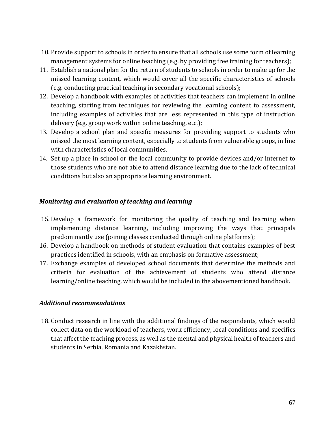- 10. Provide support to schools in order to ensure that all schools use some form of learning management systems for online teaching (e.g. by providing free training for teachers);
- 11. Establish a national plan for the return of students to schools in order to make up for the missed learning content, which would cover all the specific characteristics of schools (e.g. conducting practical teaching in secondary vocational schools);
- 12. Develop a handbook with examples of activities that teachers can implement in online teaching, starting from techniques for reviewing the learning content to assessment, including examples of activities that are less represented in this type of instruction delivery (e.g. group work within online teaching, etc.);
- 13. Develop a school plan and specific measures for providing support to students who missed the most learning content, especially to students from vulnerable groups, in line with characteristics of local communities.
- 14. Set up a place in school or the local community to provide devices and/or internet to those students who are not able to attend distance learning due to the lack of technical conditions but also an appropriate learning environment.

#### *Monitoring and evaluation of teaching and learning*

- 15. Develop a framework for monitoring the quality of teaching and learning when implementing distance learning, including improving the ways that principals predominantly use (joining classes conducted through online platforms);
- 16. Develop a handbook on methods of student evaluation that contains examples of best practices identified in schools, with an emphasis on formative assessment;
- 17. Exchange examples of developed school documents that determine the methods and criteria for evaluation of the achievement of students who attend distance learning/online teaching, which would be included in the abovementioned handbook.

#### *Additional recommendations*

18. Conduct research in line with the additional findings of the respondents, which would collect data on the workload of teachers, work efficiency, local conditions and specifics that affect the teaching process, as well as the mental and physical health of teachers and students in Serbia, Romania and Kazakhstan.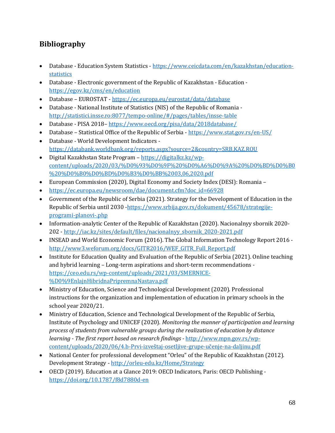## <span id="page-67-0"></span>**Bibliography**

- Database Education System Statistics [https://www.ceicdata.com/en/kazakhstan/education](https://www.ceicdata.com/en/kazakhstan/education-statistics)[statistics](https://www.ceicdata.com/en/kazakhstan/education-statistics)
- Database Electronic government of the Republic of Kazakhstan Education <https://egov.kz/cms/en/education>
- Database EUROSTAT <https://ec.europa.eu/eurostat/data/database>
- Database National Institute of Statistics (NIS) of the Republic of Romania <http://statistici.insse.ro:8077/tempo-online/#/pages/tables/insse-table>
- Database PISA 2018– <https://www.oecd.org/pisa/data/2018database/>
- Database Statistical Office of the Republic of Serbia <https://www.stat.gov.rs/en-US/>
- Database World Development Indicators <https://databank.worldbank.org/reports.aspx?source=2&country=SRB,KAZ,ROU>
- Digital Kazakhstan State Program [https://digitalkz.kz/wp](https://digitalkz.kz/wp-content/uploads/2020/03/%D0%93%D0%9F%20%D0%A6%D0%9A%20%D0%BD%D0%B0%20%D0%B0%D0%BD%D0%B3%D0%BB%2003,06,2020.pdf)[content/uploads/2020/03/%D0%93%D0%9F%20%D0%A6%D0%9A%20%D0%BD%D0%B0](https://digitalkz.kz/wp-content/uploads/2020/03/%D0%93%D0%9F%20%D0%A6%D0%9A%20%D0%BD%D0%B0%20%D0%B0%D0%BD%D0%B3%D0%BB%2003,06,2020.pdf) [%20%D0%B0%D0%BD%D0%B3%D0%BB%2003,06,2020.pdf](https://digitalkz.kz/wp-content/uploads/2020/03/%D0%93%D0%9F%20%D0%A6%D0%9A%20%D0%BD%D0%B0%20%D0%B0%D0%BD%D0%B3%D0%BB%2003,06,2020.pdf)
- European Commission (2020), Digital Economy and Society Index (DESI): Romania –
- https://ec.europa.eu/newsroom/dae/document.cfm?doc\_id=66928
- Government of the Republic of Serbia (2021). Strategy for the Development of Education in the Republic of Serbia until 2030 [-https://www.srbija.gov.rs/dokument/45678/strategije](https://www.srbija.gov.rs/dokument/45678/strategije-programi-planovi-.php)[programi-planovi-.php](https://www.srbija.gov.rs/dokument/45678/strategije-programi-planovi-.php)
- Information-analytic Center of the Republic of Kazakhstan (2020). Nacionalnyy sbornik 2020- 202 - [http://iac.kz/sites/default/files/nacionalnyy\\_sbornik\\_2020-2021.pdf](http://iac.kz/sites/default/files/nacionalnyy_sbornik_2020-2021.pdf)
- INSEAD and World Economic Forum (2016). The Global Information Technology Report 2016 [http://www3.weforum.org/docs/GITR2016/WEF\\_GITR\\_Full\\_Report.pdf](http://www3.weforum.org/docs/GITR2016/WEF_GITR_Full_Report.pdf)
- Institute for Education Quality and Evaluation of the Republic of Serbia (2021). Online teaching and hybrid learning – Long-term aspirations and short-term recommendations [https://ceo.edu.rs/wp-content/uploads/2021/03/SMERNICE-](https://ceo.edu.rs/wp-content/uploads/2021/03/SMERNICE-%D0%9EnlajnHibridnaPripremnaNastava.pdf) [%D0%9EnlajnHibridnaPripremnaNastava.pdf](https://ceo.edu.rs/wp-content/uploads/2021/03/SMERNICE-%D0%9EnlajnHibridnaPripremnaNastava.pdf)
- Ministry of Education, Science and Technological Development (2020). Professional instructions for the organization and implementation of education in primary schools in the school year 2020/21.
- Ministry of Education, Science and Technological Development of the Republic of Serbia, Institute of Psychology and UNICEF (2020). *Monitoring the manner of participation and learning process of students from vulnerable groups during the realization of education by distance learning - The first report based on research findings -* [http://www.mpn.gov.rs/wp](http://www.mpn.gov.rs/wp-content/uploads/2020/06/4.b-Prvi-izveštaj-osetljive-grupe-učenje-na-daljinu.pdf)[content/uploads/2020/06/4.b-Prvi-](http://www.mpn.gov.rs/wp-content/uploads/2020/06/4.b-Prvi-izveštaj-osetljive-grupe-učenje-na-daljinu.pdf)izveštaj-osetljive-grupe-učenje-na-daljinu.pdf
- National Center for professional development "Orleu" of the Republic of Kazakhstan (2012). Development Strategy - <http://orleu-edu.kz/Home/Strategy>
- OECD (2019). Education at a Glance 2019: OECD Indicators, Paris: OECD Publishing <https://doi.org/10.1787/f8d7880d-en>